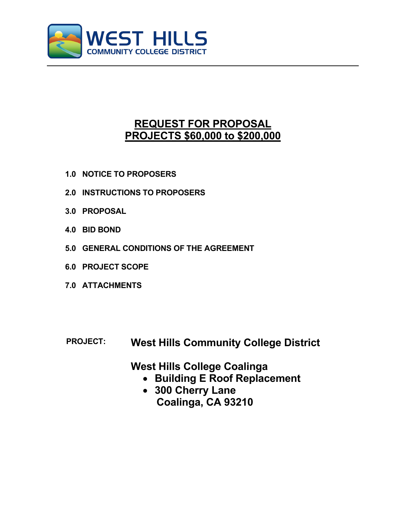

# **REQUEST FOR PROPOSAL PROJECTS \$60,000 to \$200,000**

- **1.0 NOTICE TO PROPOSERS**
- **2.0 INSTRUCTIONS TO PROPOSERS**
- **3.0 PROPOSAL**
- **4.0 BID BOND**
- **5.0 GENERAL CONDITIONS OF THE AGREEMENT**
- **6.0 PROJECT SCOPE**
- **7.0 ATTACHMENTS**
- **PROJECT: West Hills Community College District**

**West Hills College Coalinga**

- **Building E Roof Replacement**
- **300 Cherry Lane Coalinga, CA 93210**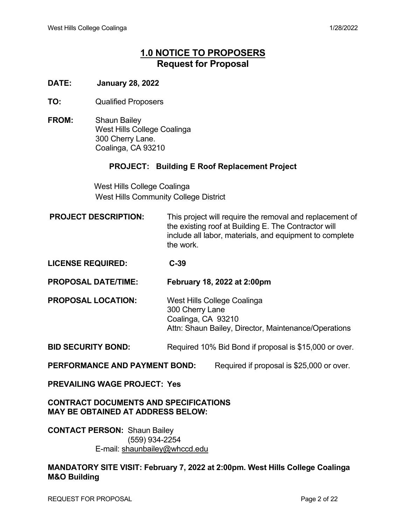# **1.0 NOTICE TO PROPOSERS Request for Proposal**

## **DATE: January 28, 2022**

- **TO:** Qualified Proposers
- **FROM:** Shaun Bailey West Hills College Coalinga 300 Cherry Lane. Coalinga, CA 93210

## **PROJECT: Building E Roof Replacement Project**

 West Hills College Coalinga West Hills Community College District

**PROJECT DESCRIPTION:** This project will require the removal and replacement of the existing roof at Building E. The Contractor will include all labor, materials, and equipment to complete the work.

**LICENSE REQUIRED: C-39**

**PROPOSAL DATE/TIME: February 18, 2022 at 2:00pm**

**PROPOSAL LOCATION:** West Hills College Coalinga 300 Cherry Lane Coalinga, CA 93210 Attn: Shaun Bailey, Director, Maintenance/Operations

**BID SECURITY BOND:** Required 10% Bid Bond if proposal is \$15,000 or over.

**PERFORMANCE AND PAYMENT BOND:** Required if proposal is \$25,000 or over.

## **PREVAILING WAGE PROJECT: Yes**

**CONTRACT DOCUMENTS AND SPECIFICATIONS MAY BE OBTAINED AT ADDRESS BELOW:**

**CONTACT PERSON:** Shaun Bailey (559) 934-2254 E-mail: [shaunbailey@whccd.edu](mailto:shaunbailey@whccd.edu)

**MANDATORY SITE VISIT: February 7, 2022 at 2:00pm. West Hills College Coalinga M&O Building**

REQUEST FOR PROPOSAL **Page 2 of 22**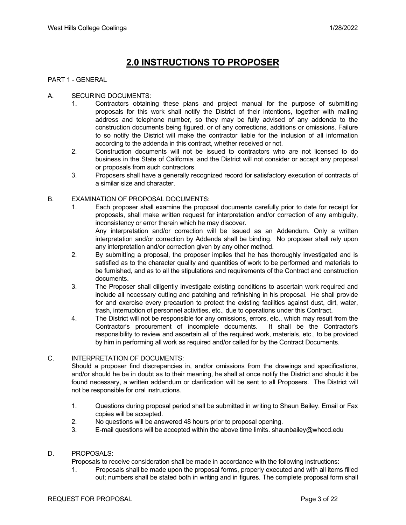# **2.0 INSTRUCTIONS TO PROPOSER**

#### PART 1 - GENERAL

#### A. SECURING DOCUMENTS:

- 1. Contractors obtaining these plans and project manual for the purpose of submitting proposals for this work shall notify the District of their intentions, together with mailing address and telephone number, so they may be fully advised of any addenda to the construction documents being figured, or of any corrections, additions or omissions. Failure to so notify the District will make the contractor liable for the inclusion of all information according to the addenda in this contract, whether received or not.
- 2. Construction documents will not be issued to contractors who are not licensed to do business in the State of California, and the District will not consider or accept any proposal or proposals from such contractors.
- 3. Proposers shall have a generally recognized record for satisfactory execution of contracts of a similar size and character.

#### B. EXAMINATION OF PROPOSAL DOCUMENTS:

1. Each proposer shall examine the proposal documents carefully prior to date for receipt for proposals, shall make written request for interpretation and/or correction of any ambiguity, inconsistency or error therein which he may discover. Any interpretation and/or correction will be issued as an Addendum. Only a written

interpretation and/or correction by Addenda shall be binding. No proposer shall rely upon any interpretation and/or correction given by any other method.

- 2. By submitting a proposal, the proposer implies that he has thoroughly investigated and is satisfied as to the character quality and quantities of work to be performed and materials to be furnished, and as to all the stipulations and requirements of the Contract and construction documents.
- 3. The Proposer shall diligently investigate existing conditions to ascertain work required and include all necessary cutting and patching and refinishing in his proposal. He shall provide for and exercise every precaution to protect the existing facilities against dust, dirt, water, trash, interruption of personnel activities, etc., due to operations under this Contract.
- 4. The District will not be responsible for any omissions, errors, etc., which may result from the<br>Contractor's procurement of incomplete documents. It shall be the Contractor's Contractor's procurement of incomplete documents. responsibility to review and ascertain all of the required work, materials, etc., to be provided by him in performing all work as required and/or called for by the Contract Documents.

#### C. INTERPRETATION OF DOCUMENTS:

Should a proposer find discrepancies in, and/or omissions from the drawings and specifications, and/or should he be in doubt as to their meaning, he shall at once notify the District and should it be found necessary, a written addendum or clarification will be sent to all Proposers. The District will not be responsible for oral instructions.

- 1. Questions during proposal period shall be submitted in writing to Shaun Bailey. Email or Fax copies will be accepted.
- 2. No questions will be answered 48 hours prior to proposal opening.
- 3. E-mail questions will be accepted within the above time limits. [shaunbailey@whccd.edu](mailto:shaunbailey@whccd.edu)

#### D. PROPOSALS:

Proposals to receive consideration shall be made in accordance with the following instructions:

1. Proposals shall be made upon the proposal forms, properly executed and with all items filled out; numbers shall be stated both in writing and in figures. The complete proposal form shall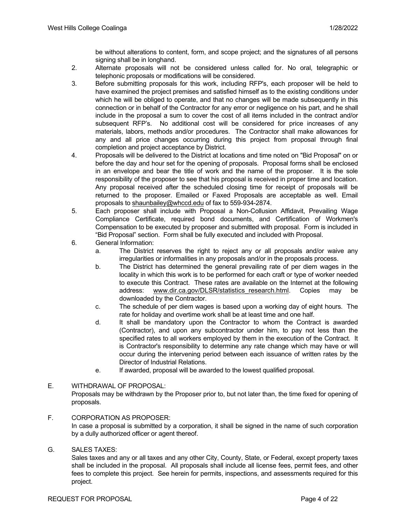be without alterations to content, form, and scope project; and the signatures of all persons signing shall be in longhand.

- 2. Alternate proposals will not be considered unless called for. No oral, telegraphic or telephonic proposals or modifications will be considered.
- 3. Before submitting proposals for this work, including RFP's, each proposer will be held to have examined the project premises and satisfied himself as to the existing conditions under which he will be obliged to operate, and that no changes will be made subsequently in this connection or in behalf of the Contractor for any error or negligence on his part, and he shall include in the proposal a sum to cover the cost of all items included in the contract and/or subsequent RFP's. No additional cost will be considered for price increases of any materials, labors, methods and/or procedures. The Contractor shall make allowances for any and all price changes occurring during this project from proposal through final completion and project acceptance by District.
- 4. Proposals will be delivered to the District at locations and time noted on "Bid Proposal" on or before the day and hour set for the opening of proposals. Proposal forms shall be enclosed in an envelope and bear the title of work and the name of the proposer. It is the sole responsibility of the proposer to see that his proposal is received in proper time and location. Any proposal received after the scheduled closing time for receipt of proposals will be returned to the proposer. Emailed or Faxed Proposals are acceptable as well. Email proposals to [shaunbailey@whccd.edu](mailto:shaunbailey@whccd.edu) of fax to 559-934-2874.
- 5. Each proposer shall include with Proposal a Non-Collusion Affidavit, Prevailing Wage Compliance Certificate, required bond documents, and Certification of Workmen's Compensation to be executed by proposer and submitted with proposal. Form is included in "Bid Proposal" section. Form shall be fully executed and included with Proposal.
- 6. General Information:
	- a. The District reserves the right to reject any or all proposals and/or waive any irregularities or informalities in any proposals and/or in the proposals process.
	- b. The District has determined the general prevailing rate of per diem wages in the locality in which this work is to be performed for each craft or type of worker needed to execute this Contract. These rates are available on the Internet at the following address: [www.dir.ca.gov/DLSR/statistics\\_research.html.](http://www.dir.ca.gov/DLSR/statistics_research.html) Copies may be downloaded by the Contractor.
	- c. The schedule of per diem wages is based upon a working day of eight hours. The rate for holiday and overtime work shall be at least time and one half.
	- d. It shall be mandatory upon the Contractor to whom the Contract is awarded (Contractor), and upon any subcontractor under him, to pay not less than the specified rates to all workers employed by them in the execution of the Contract. It is Contractor's responsibility to determine any rate change which may have or will occur during the intervening period between each issuance of written rates by the Director of Industrial Relations.
	- e. If awarded, proposal will be awarded to the lowest qualified proposal.

## E. WITHDRAWAL OF PROPOSAL: Proposals may be withdrawn by the Proposer prior to, but not later than, the time fixed for opening of proposals.

#### F. CORPORATION AS PROPOSER:

In case a proposal is submitted by a corporation, it shall be signed in the name of such corporation by a dully authorized officer or agent thereof.

#### G. SALES TAXES:

Sales taxes and any or all taxes and any other City, County, State, or Federal, except property taxes shall be included in the proposal. All proposals shall include all license fees, permit fees, and other fees to complete this project. See herein for permits, inspections, and assessments required for this project.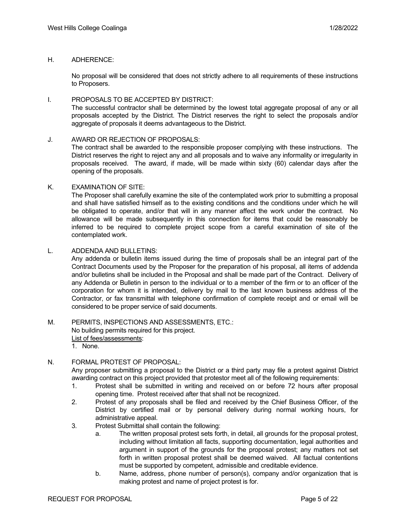#### H. ADHERENCE:

No proposal will be considered that does not strictly adhere to all requirements of these instructions to Proposers.

#### I. PROPOSALS TO BE ACCEPTED BY DISTRICT:

The successful contractor shall be determined by the lowest total aggregate proposal of any or all proposals accepted by the District. The District reserves the right to select the proposals and/or aggregate of proposals it deems advantageous to the District.

#### J. AWARD OR REJECTION OF PROPOSALS:

The contract shall be awarded to the responsible proposer complying with these instructions. The District reserves the right to reject any and all proposals and to waive any informality or irregularity in proposals received. The award, if made, will be made within sixty (60) calendar days after the opening of the proposals.

#### K. EXAMINATION OF SITE:

The Proposer shall carefully examine the site of the contemplated work prior to submitting a proposal and shall have satisfied himself as to the existing conditions and the conditions under which he will be obligated to operate, and/or that will in any manner affect the work under the contract. No allowance will be made subsequently in this connection for items that could be reasonably be inferred to be required to complete project scope from a careful examination of site of the contemplated work.

#### L. ADDENDA AND BULLETINS:

Any addenda or bulletin items issued during the time of proposals shall be an integral part of the Contract Documents used by the Proposer for the preparation of his proposal, all items of addenda and/or bulletins shall be included in the Proposal and shall be made part of the Contract. Delivery of any Addenda or Bulletin in person to the individual or to a member of the firm or to an officer of the corporation for whom it is intended, delivery by mail to the last known business address of the Contractor, or fax transmittal with telephone confirmation of complete receipt and or email will be considered to be proper service of said documents.

## M. PERMITS, INSPECTIONS AND ASSESSMENTS, ETC.: No building permits required for this project.

List of fees/assessments:

1. None.

#### N. FORMAL PROTEST OF PROPOSAL:

Any proposer submitting a proposal to the District or a third party may file a protest against District awarding contract on this project provided that protestor meet all of the following requirements:

- 1. Protest shall be submitted in writing and received on or before 72 hours after proposal opening time. Protest received after that shall not be recognized.
- 2. Protest of any proposals shall be filed and received by the Chief Business Officer, of the District by certified mail or by personal delivery during normal working hours, for administrative appeal.
- 3. Protest Submittal shall contain the following:
	- a. The written proposal protest sets forth, in detail, all grounds for the proposal protest, including without limitation all facts, supporting documentation, legal authorities and argument in support of the grounds for the proposal protest; any matters not set forth in written proposal protest shall be deemed waived. All factual contentions must be supported by competent, admissible and creditable evidence.
	- b. Name, address, phone number of person(s), company and/or organization that is making protest and name of project protest is for.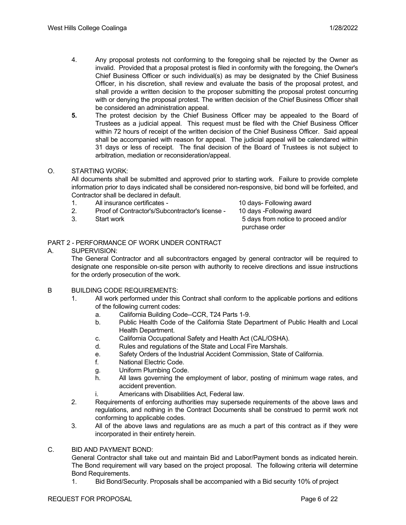- 4. Any proposal protests not conforming to the foregoing shall be rejected by the Owner as invalid. Provided that a proposal protest is filed in conformity with the foregoing, the Owner's Chief Business Officer or such individual(s) as may be designated by the Chief Business Officer, in his discretion, shall review and evaluate the basis of the proposal protest, and shall provide a written decision to the proposer submitting the proposal protest concurring with or denying the proposal protest. The written decision of the Chief Business Officer shall be considered an administration appeal.
- **5.** The protest decision by the Chief Business Officer may be appealed to the Board of Trustees as a judicial appeal. This request must be filed with the Chief Business Officer within 72 hours of receipt of the written decision of the Chief Business Officer. Said appeal shall be accompanied with reason for appeal. The judicial appeal will be calendared within 31 days or less of receipt. The final decision of the Board of Trustees is not subject to arbitration, mediation or reconsideration/appeal.

#### O. STARTING WORK:

All documents shall be submitted and approved prior to starting work. Failure to provide complete information prior to days indicated shall be considered non-responsive, bid bond will be forfeited, and Contractor shall be declared in default.

- 1. All insurance certificates 10 days- Following award
- 2. Proof of Contractor's/Subcontractor's license 10 days -Following award
- 

3. Start work 5 days from notice to proceed and/or purchase order

## PART 2 - PERFORMANCE OF WORK UNDER CONTRACT

#### A. SUPERVISION:

The General Contractor and all subcontractors engaged by general contractor will be required to designate one responsible on-site person with authority to receive directions and issue instructions for the orderly prosecution of the work.

- B BUILDING CODE REQUIREMENTS:
	- 1. All work performed under this Contract shall conform to the applicable portions and editions of the following current codes:
		- a. California Building Code--CCR, T24 Parts 1-9.
		- b. Public Health Code of the California State Department of Public Health and Local Health Department.
		- c. California Occupational Safety and Health Act (CAL/OSHA).
		- d. Rules and regulations of the State and Local Fire Marshals.
		- e. Safety Orders of the Industrial Accident Commission, State of California.
		- f. National Electric Code.
		- g. Uniform Plumbing Code.
		- h. All laws governing the employment of labor, posting of minimum wage rates, and accident prevention.
		- i. Americans with Disabilities Act, Federal law.
	- 2. Requirements of enforcing authorities may supersede requirements of the above laws and regulations, and nothing in the Contract Documents shall be construed to permit work not conforming to applicable codes.
	- 3. All of the above laws and regulations are as much a part of this contract as if they were incorporated in their entirety herein.

#### C. BID AND PAYMENT BOND:

General Contractor shall take out and maintain Bid and Labor/Payment bonds as indicated herein. The Bond requirement will vary based on the project proposal. The following criteria will determine Bond Requirements.

1. Bid Bond/Security. Proposals shall be accompanied with a Bid security 10% of project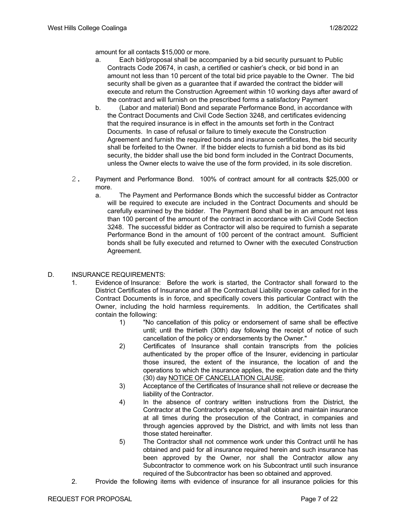amount for all contacts \$15,000 or more.

- a. Each bid/proposal shall be accompanied by a bid security pursuant to Public Contracts Code 20674, in cash, a certified or cashier's check, or bid bond in an amount not less than 10 percent of the total bid price payable to the Owner. The bid security shall be given as a guarantee that if awarded the contract the bidder will execute and return the Construction Agreement within 10 working days after award of the contract and will furnish on the prescribed forms a satisfactory Payment
- b. (Labor and material) Bond and separate Performance Bond, in accordance with the Contract Documents and Civil Code Section 3248, and certificates evidencing that the required insurance is in effect in the amounts set forth in the Contract Documents. In case of refusal or failure to timely execute the Construction Agreement and furnish the required bonds and insurance certificates, the bid security shall be forfeited to the Owner. If the bidder elects to furnish a bid bond as its bid security, the bidder shall use the bid bond form included in the Contract Documents, unless the Owner elects to waive the use of the form provided, in its sole discretion.
- 2. Payment and Performance Bond. 100% of contract amount for all contracts \$25,000 or more.
	- a. The Payment and Performance Bonds which the successful bidder as Contractor will be required to execute are included in the Contract Documents and should be carefully examined by the bidder. The Payment Bond shall be in an amount not less than 100 percent of the amount of the contract in accordance with Civil Code Section 3248. The successful bidder as Contractor will also be required to furnish a separate Performance Bond in the amount of 100 percent of the contract amount. Sufficient bonds shall be fully executed and returned to Owner with the executed Construction Agreement.
- D. INSURANCE REQUIREMENTS:
	- 1. Evidence of Insurance: Before the work is started, the Contractor shall forward to the District Certificates of Insurance and all the Contractual Liability coverage called for in the Contract Documents is in force, and specifically covers this particular Contract with the Owner, including the hold harmless requirements. In addition, the Certificates shall contain the following:
		- 1) "No cancellation of this policy or endorsement of same shall be effective until; until the thirtieth (30th) day following the receipt of notice of such cancellation of the policy or endorsements by the Owner."
		- 2) Certificates of Insurance shall contain transcripts from the policies authenticated by the proper office of the Insurer, evidencing in particular those insured, the extent of the insurance, the location of and the operations to which the insurance applies, the expiration date and the thirty (30) day NOTICE OF CANCELLATION CLAUSE.
		- 3) Acceptance of the Certificates of Insurance shall not relieve or decrease the liability of the Contractor.
		- 4) In the absence of contrary written instructions from the District, the Contractor at the Contractor's expense, shall obtain and maintain insurance at all times during the prosecution of the Contract, in companies and through agencies approved by the District, and with limits not less than those stated hereinafter.
		- 5) The Contractor shall not commence work under this Contract until he has obtained and paid for all insurance required herein and such insurance has been approved by the Owner, nor shall the Contractor allow any Subcontractor to commence work on his Subcontract until such insurance required of the Subcontractor has been so obtained and approved.
	- 2. Provide the following items with evidence of insurance for all insurance policies for this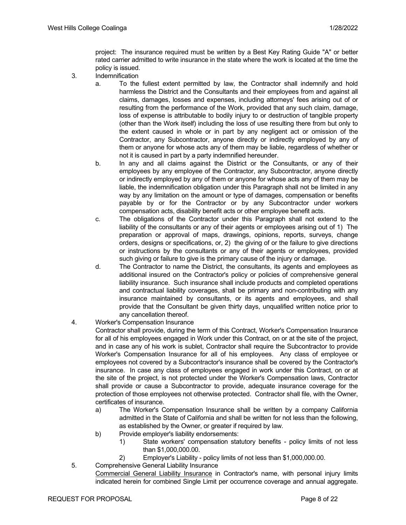project: The insurance required must be written by a Best Key Rating Guide "A" or better rated carrier admitted to write insurance in the state where the work is located at the time the policy is issued.

- 3. Indemnification
	- a. To the fullest extent permitted by law, the Contractor shall indemnify and hold harmless the District and the Consultants and their employees from and against all claims, damages, losses and expenses, including attorneys' fees arising out of or resulting from the performance of the Work, provided that any such claim, damage, loss of expense is attributable to bodily injury to or destruction of tangible property (other than the Work itself) including the loss of use resulting there from but only to the extent caused in whole or in part by any negligent act or omission of the Contractor, any Subcontractor, anyone directly or indirectly employed by any of them or anyone for whose acts any of them may be liable, regardless of whether or not it is caused in part by a party indemnified hereunder.
	- b. In any and all claims against the District or the Consultants, or any of their employees by any employee of the Contractor, any Subcontractor, anyone directly or indirectly employed by any of them or anyone for whose acts any of them may be liable, the indemnification obligation under this Paragraph shall not be limited in any way by any limitation on the amount or type of damages, compensation or benefits payable by or for the Contractor or by any Subcontractor under workers compensation acts, disability benefit acts or other employee benefit acts.
	- c. The obligations of the Contractor under this Paragraph shall not extend to the liability of the consultants or any of their agents or employees arising out of 1) The preparation or approval of maps, drawings, opinions, reports, surveys, change orders, designs or specifications, or, 2) the giving of or the failure to give directions or instructions by the consultants or any of their agents or employees, provided such giving or failure to give is the primary cause of the injury or damage.
	- d. The Contractor to name the District, the consultants, its agents and employees as additional insured on the Contractor's policy or policies of comprehensive general liability insurance. Such insurance shall include products and completed operations and contractual liability coverages, shall be primary and non-contributing with any insurance maintained by consultants, or its agents and employees, and shall provide that the Consultant be given thirty days, unqualified written notice prior to any cancellation thereof.
- 4. Worker's Compensation Insurance

Contractor shall provide, during the term of this Contract, Worker's Compensation Insurance for all of his employees engaged in Work under this Contract, on or at the site of the project, and in case any of his work is sublet, Contractor shall require the Subcontractor to provide Worker's Compensation Insurance for all of his employees. Any class of employee or employees not covered by a Subcontractor's insurance shall be covered by the Contractor's insurance. In case any class of employees engaged in work under this Contract, on or at the site of the project, is not protected under the Worker's Compensation laws, Contractor shall provide or cause a Subcontractor to provide, adequate insurance coverage for the protection of those employees not otherwise protected. Contractor shall file, with the Owner, certificates of insurance.

- a) The Worker's Compensation Insurance shall be written by a company California admitted in the State of California and shall be written for not less than the following, as established by the Owner, or greater if required by law.
- b) Provide employer's liability endorsements:
	- 1) State workers' compensation statutory benefits policy limits of not less than \$1,000,000.00.
	- 2) Employer's Liability policy limits of not less than \$1,000,000.00.
- 5. Comprehensive General Liability Insurance Commercial General Liability Insurance in Contractor's name, with personal injury limits indicated herein for combined Single Limit per occurrence coverage and annual aggregate.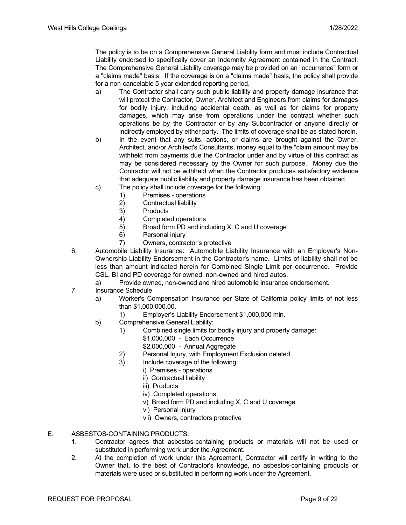The policy is to be on a Comprehensive General Liability form and must include Contractual Liability endorsed to specifically cover an Indemnity Agreement contained in the Contract. The Comprehensive General Liability coverage may be provided on an "occurrence" form or a "claims made" basis. If the coverage is on a "claims made" basis, the policy shall provide for a non-cancelable 5 year extended reporting period.

- a) The Contractor shall carry such public liability and property damage insurance that will protect the Contractor, Owner, Architect and Engineers from claims for damages for bodily injury, including accidental death, as well as for claims for property damages, which may arise from operations under the contract whether such operations be by the Contractor or by any Subcontractor or anyone directly or indirectly employed by either party. The limits of coverage shall be as stated herein.
- b) In the event that any suits, actions, or claims are brought against the Owner, Architect, and/or Architect's Consultants, money equal to the "claim amount may be withheld from payments due the Contractor under and by virtue of this contract as may be considered necessary by the Owner for such purpose. Money due the Contractor will not be withheld when the Contractor produces satisfactory evidence that adequate public liability and property damage insurance has been obtained.
- c) The policy shall include coverage for the following:
	- 1) Premises operations
	- 2) Contractual liability
	- 3) Products
	- 4) Completed operations<br>5) Broad form PD and inc
	- Broad form PD and including X, C and U coverage
	- 6) Personal injury
	- 7) Owners, contractor's protective
- 6. Automobile Liability Insurance: Automobile Liability Insurance with an Employer's Non-Ownership Liability Endorsement in the Contractor's name. Limits of liability shall not be less than amount indicated herein for Combined Single Limit per occurrence. Provide CSL, BI and PD coverage for owned, non-owned and hired autos.
	- a) Provide owned, non-owned and hired automobile insurance endorsement.
- 7. Insurance Schedule
	- a) Worker's Compensation Insurance per State of California policy limits of not less than \$1,000,000.00.
		- 1) Employer's Liability Endorsement \$1,000,000 min.
	- b) Comprehensive General Liability:
		- 1) Combined single limits for bodily injury and property damage:
			- \$1,000,000 Each Occurrence
			- \$2,000,000 Annual Aggregate
			- 2) Personal Injury, with Employment Exclusion deleted.
			- 3) Include coverage of the following:
				- i) Premises operations
				- ii) Contractual liability
				- iii) Products
				- iv) Completed operations
				- v) Broad form PD and including X, C and U coverage
				- vi) Personal injury
				- vii) Owners, contractors protective
- E. ASBESTOS-CONTAINING PRODUCTS:
	- 1. Contractor agrees that asbestos-containing products or materials will not be used or substituted in performing work under the Agreement.
	- 2. At the completion of work under this Agreement, Contractor will certify in writing to the Owner that, to the best of Contractor's knowledge, no asbestos-containing products or materials were used or substituted in performing work under the Agreement.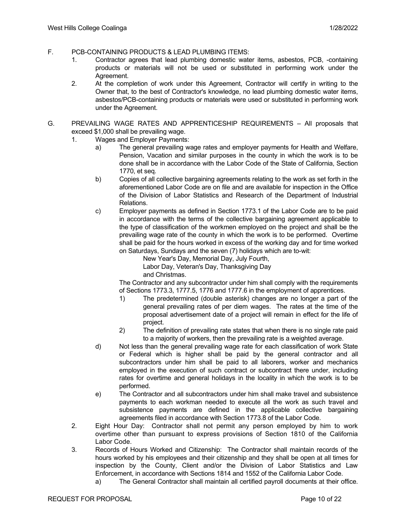- F. PCB-CONTAINING PRODUCTS & LEAD PLUMBING ITEMS:
	- 1. Contractor agrees that lead plumbing domestic water items, asbestos, PCB, -containing products or materials will not be used or substituted in performing work under the Agreement.
	- 2. At the completion of work under this Agreement, Contractor will certify in writing to the Owner that, to the best of Contractor's knowledge, no lead plumbing domestic water items, asbestos/PCB-containing products or materials were used or substituted in performing work under the Agreement.
- G. PREVAILING WAGE RATES AND APPRENTICESHIP REQUIREMENTS All proposals that exceed \$1,000 shall be prevailing wage.
	- 1. Wages and Employer Payments:
		- a) The general prevailing wage rates and employer payments for Health and Welfare, Pension, Vacation and similar purposes in the county in which the work is to be done shall be in accordance with the Labor Code of the State of California, Section 1770, et seq.
		- b) Copies of all collective bargaining agreements relating to the work as set forth in the aforementioned Labor Code are on file and are available for inspection in the Office of the Division of Labor Statistics and Research of the Department of Industrial Relations.
		- c) Employer payments as defined in Section 1773.1 of the Labor Code are to be paid in accordance with the terms of the collective bargaining agreement applicable to the type of classification of the workmen employed on the project and shall be the prevailing wage rate of the county in which the work is to be performed. Overtime shall be paid for the hours worked in excess of the working day and for time worked on Saturdays, Sundays and the seven (7) holidays which are to-wit:
			- New Year's Day, Memorial Day, July Fourth,

Labor Day, Veteran's Day, Thanksgiving Day

and Christmas.

The Contractor and any subcontractor under him shall comply with the requirements of Sections 1773.3, 1777.5, 1776 and 1777.6 in the employment of apprentices.

- 1) The predetermined (double asterisk) changes are no longer a part of the general prevailing rates of per diem wages. The rates at the time of the proposal advertisement date of a project will remain in effect for the life of project.
- 2) The definition of prevailing rate states that when there is no single rate paid to a majority of workers, then the prevailing rate is a weighted average.
- d) Not less than the general prevailing wage rate for each classification of work State or Federal which is higher shall be paid by the general contractor and all subcontractors under him shall be paid to all laborers, worker and mechanics employed in the execution of such contract or subcontract there under, including rates for overtime and general holidays in the locality in which the work is to be performed.
- e) The Contractor and all subcontractors under him shall make travel and subsistence payments to each workman needed to execute all the work as such travel and subsistence payments are defined in the applicable collective bargaining agreements filed in accordance with Section 1773.8 of the Labor Code.
- 2. Eight Hour Day: Contractor shall not permit any person employed by him to work overtime other than pursuant to express provisions of Section 1810 of the California Labor Code.
- 3. Records of Hours Worked and Citizenship: The Contractor shall maintain records of the hours worked by his employees and their citizenship and they shall be open at all times for inspection by the County, Client and/or the Division of Labor Statistics and Law Enforcement, in accordance with Sections 1814 and 1552 of the California Labor Code.
	- a) The General Contractor shall maintain all certified payroll documents at their office.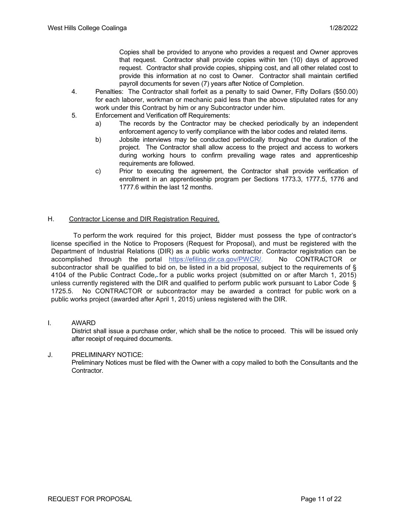Copies shall be provided to anyone who provides a request and Owner approves that request. Contractor shall provide copies within ten (10) days of approved request. Contractor shall provide copies, shipping cost, and all other related cost to provide this information at no cost to Owner. Contractor shall maintain certified payroll documents for seven (7) years after Notice of Completion.

- 4. Penalties: The Contractor shall forfeit as a penalty to said Owner, Fifty Dollars (\$50.00) for each laborer, workman or mechanic paid less than the above stipulated rates for any work under this Contract by him or any Subcontractor under him.
- 5. Enforcement and Verification off Requirements:
	- a) The records by the Contractor may be checked periodically by an independent enforcement agency to verify compliance with the labor codes and related items.
	- b) Jobsite interviews may be conducted periodically throughout the duration of the project. The Contractor shall allow access to the project and access to workers during working hours to confirm prevailing wage rates and apprenticeship requirements are followed.
	- c) Prior to executing the agreement, the Contractor shall provide verification of enrollment in an apprenticeship program per Sections 1773.3, 1777.5, 1776 and 1777.6 within the last 12 months.

#### H. Contractor License and DIR Registration Required.

 To perform the work required for this project, Bidder must possess the type of contractor's license specified in the Notice to Proposers (Request for Proposal), and must be registered with the Department of Industrial Relations (DIR) as a public works contractor. Contractor registration can be accomplished through the portal https://efiling.dir.ca.gov/PWCR/. No CONTRACTOR or subcontractor shall be qualified to bid on, be listed in a bid proposal, subject to the requirements of § 4104 of the Public Contract Code, for a public works project (submitted on or after March 1, 2015) unless currently registered with the DIR and qualified to perform public work pursuant to Labor Code § 1725.5. No CONTRACTOR or subcontractor may be awarded a contract for public work on a public works project (awarded after April 1, 2015) unless registered with the DIR.

#### I. AWARD

District shall issue a purchase order, which shall be the notice to proceed. This will be issued only after receipt of required documents.

#### J. PRELIMINARY NOTICE:

Preliminary Notices must be filed with the Owner with a copy mailed to both the Consultants and the Contractor.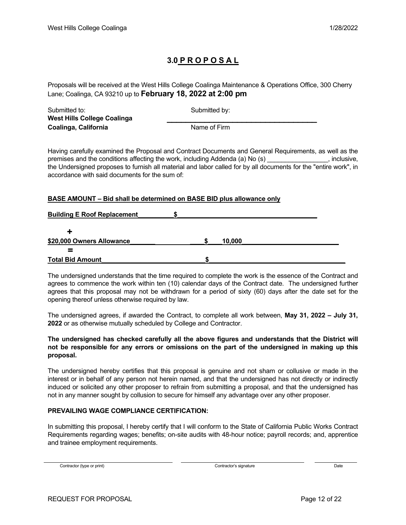# **3.0 P R O P O S A L**

Proposals will be received at the West Hills College Coalinga Maintenance & Operations Office, 300 Cherry Lane; Coalinga, CA 93210 up to **February 18, 2022 at 2:00 pm**

| Submitted to:                      | Submitted by: |  |
|------------------------------------|---------------|--|
| <b>West Hills College Coalinga</b> |               |  |
| Coalinga, California               | Name of Firm  |  |

Having carefully examined the Proposal and Contract Documents and General Requirements, as well as the premises and the conditions affecting the work, including Addenda (a) No (s) example the conditions of the work, including Addenda (a) No (s) the Undersigned proposes to furnish all material and labor called for by all documents for the "entire work", in accordance with said documents for the sum of:

#### **BASE AMOUNT – Bid shall be determined on BASE BID plus allowance only**

| <b>Building E Roof Replacement</b> |  |        |  |
|------------------------------------|--|--------|--|
|                                    |  |        |  |
| \$20,000 Owners Allowance          |  | 10,000 |  |
|                                    |  |        |  |
| <b>Total Bid Amount</b>            |  |        |  |

The undersigned understands that the time required to complete the work is the essence of the Contract and agrees to commence the work within ten (10) calendar days of the Contract date. The undersigned further agrees that this proposal may not be withdrawn for a period of sixty (60) days after the date set for the opening thereof unless otherwise required by law.

The undersigned agrees, if awarded the Contract, to complete all work between, **May 31, 2022 – July 31, 2022** or as otherwise mutually scheduled by College and Contractor.

#### **The undersigned has checked carefully all the above figures and understands that the District will not be responsible for any errors or omissions on the part of the undersigned in making up this proposal.**

The undersigned hereby certifies that this proposal is genuine and not sham or collusive or made in the interest or in behalf of any person not herein named, and that the undersigned has not directly or indirectly induced or solicited any other proposer to refrain from submitting a proposal, and that the undersigned has not in any manner sought by collusion to secure for himself any advantage over any other proposer.

#### **PREVAILING WAGE COMPLIANCE CERTIFICATION:**

In submitting this proposal, I hereby certify that I will conform to the State of California Public Works Contract Requirements regarding wages; benefits; on-site audits with 48-hour notice; payroll records; and, apprentice and trainee employment requirements.

Contractor (type or print) Date Date Contractor's signature Contractor's signature Date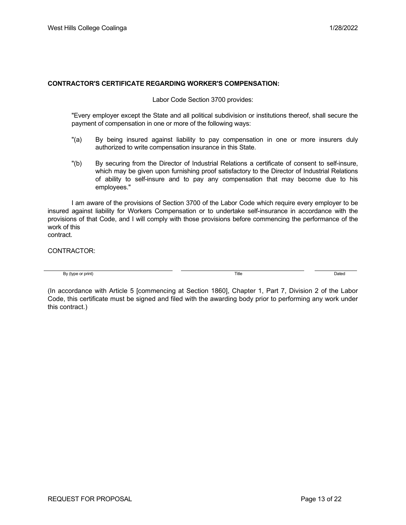#### **CONTRACTOR'S CERTIFICATE REGARDING WORKER'S COMPENSATION:**

Labor Code Section 3700 provides:

"Every employer except the State and all political subdivision or institutions thereof, shall secure the payment of compensation in one or more of the following ways:

- "(a) By being insured against liability to pay compensation in one or more insurers duly authorized to write compensation insurance in this State.
- "(b) By securing from the Director of Industrial Relations a certificate of consent to self-insure, which may be given upon furnishing proof satisfactory to the Director of Industrial Relations of ability to self-insure and to pay any compensation that may become due to his employees."

I am aware of the provisions of Section 3700 of the Labor Code which require every employer to be insured against liability for Workers Compensation or to undertake self-insurance in accordance with the provisions of that Code, and I will comply with those provisions before commencing the performance of the work of this contract.

CONTRACTOR:

By (type or print) and the Dated Control of the Dated Control of the Dated Control of the Dated Control of the Dated Control of the Dated Control of the Dated Control of the Dated Control of the Dated Control of the Dated

(In accordance with Article 5 [commencing at Section 1860], Chapter 1, Part 7, Division 2 of the Labor Code, this certificate must be signed and filed with the awarding body prior to performing any work under this contract.)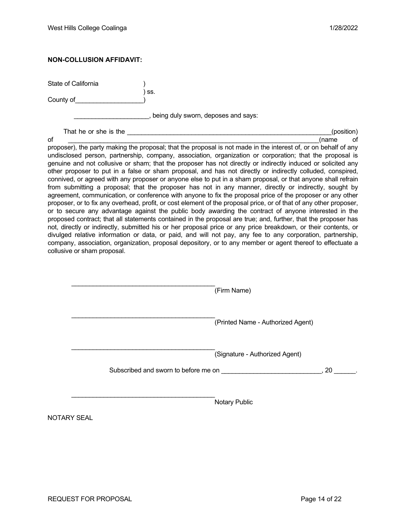#### **NON-COLLUSION AFFIDAVIT:**

State of California )

County of **Exercise 20** 

) ss.

\_\_\_\_\_\_\_\_\_\_\_\_\_\_\_\_\_\_\_\_\_, being duly sworn, deposes and says:

That he or she is the \_\_\_\_\_\_\_\_\_\_\_\_\_\_\_\_\_\_\_\_\_\_\_\_\_\_\_\_\_\_\_\_\_\_\_\_\_\_\_\_\_\_\_\_\_\_\_\_\_\_\_\_\_\_\_\_\_(position)

of \_\_\_\_\_\_\_\_\_\_\_\_\_\_\_\_\_\_\_\_\_\_\_\_\_\_\_\_\_\_\_\_\_\_\_\_\_\_\_\_\_\_\_\_\_\_\_\_\_\_\_\_\_\_\_\_\_\_\_\_\_\_\_\_\_\_\_\_\_\_(name of proposer), the party making the proposal; that the proposal is not made in the interest of, or on behalf of any undisclosed person, partnership, company, association, organization or corporation; that the proposal is genuine and not collusive or sham; that the proposer has not directly or indirectly induced or solicited any other proposer to put in a false or sham proposal, and has not directly or indirectly colluded, conspired, connived, or agreed with any proposer or anyone else to put in a sham proposal, or that anyone shall refrain from submitting a proposal; that the proposer has not in any manner, directly or indirectly, sought by agreement, communication, or conference with anyone to fix the proposal price of the proposer or any other proposer, or to fix any overhead, profit, or cost element of the proposal price, or of that of any other proposer, or to secure any advantage against the public body awarding the contract of anyone interested in the proposed contract; that all statements contained in the proposal are true; and, further, that the proposer has not, directly or indirectly, submitted his or her proposal price or any price breakdown, or their contents, or divulged relative information or data, or paid, and will not pay, any fee to any corporation, partnership, company, association, organization, proposal depository, or to any member or agent thereof to effectuate a collusive or sham proposal.

|                    |                                      | (Firm Name)                       |      |
|--------------------|--------------------------------------|-----------------------------------|------|
|                    |                                      | (Printed Name - Authorized Agent) |      |
|                    | Subscribed and sworn to before me on | (Signature - Authorized Agent)    | . 20 |
|                    |                                      | Notary Public                     |      |
| <b>NOTARY SEAL</b> |                                      |                                   |      |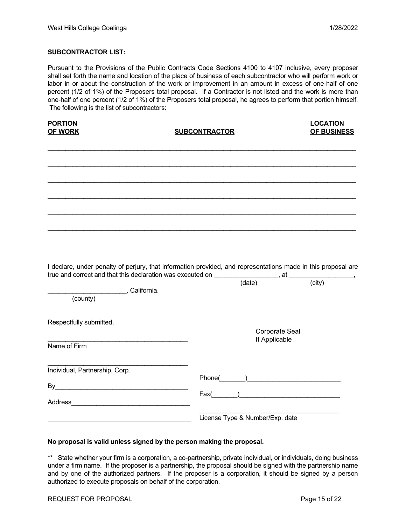#### **SUBCONTRACTOR LIST:**

Pursuant to the Provisions of the Public Contracts Code Sections 4100 to 4107 inclusive, every proposer shall set forth the name and location of the place of business of each subcontractor who will perform work or labor in or about the construction of the work or improvement in an amount in excess of one-half of one percent (1/2 of 1%) of the Proposers total proposal. If a Contractor is not listed and the work is more than one-half of one percent (1/2 of 1%) of the Proposers total proposal, he agrees to perform that portion himself. The following is the list of subcontractors:

| <b>PORTION</b><br><b>OF WORK</b>            | <b>SUBCONTRACTOR</b>                                                                                          | <b>LOCATION</b><br>OF BUSINESS  |  |
|---------------------------------------------|---------------------------------------------------------------------------------------------------------------|---------------------------------|--|
|                                             |                                                                                                               |                                 |  |
|                                             |                                                                                                               |                                 |  |
|                                             | I declare, under penalty of perjury, that information provided, and representations made in this proposal are |                                 |  |
| __________________, California.<br>(county) |                                                                                                               |                                 |  |
| Respectfully submitted,<br>Name of Firm     |                                                                                                               | Corporate Seal<br>If Applicable |  |
| Individual, Partnership, Corp.              | $\mathsf{Fax}(\_\_\_\_\_)\_\_\_\_\_\_\_\_\_$                                                                  |                                 |  |
|                                             | License Type & Number/Exp. date                                                                               |                                 |  |

#### **No proposal is valid unless signed by the person making the proposal.**

\*\* State whether your firm is a corporation, a co-partnership, private individual, or individuals, doing business under a firm name. If the proposer is a partnership, the proposal should be signed with the partnership name and by one of the authorized partners. If the proposer is a corporation, it should be signed by a person authorized to execute proposals on behalf of the corporation.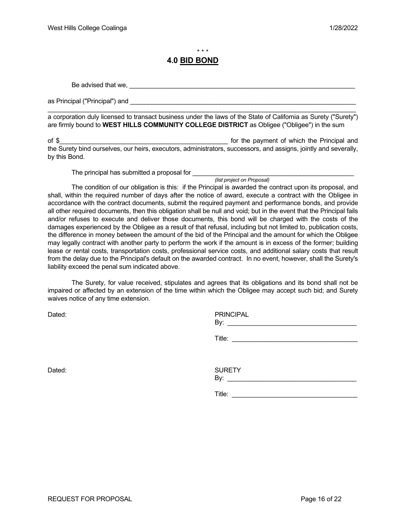\* \* \*

#### **4.0 BID BOND**

Be advised that we, \_\_\_\_\_\_\_\_\_\_\_\_\_\_\_\_\_\_\_\_\_\_\_\_\_\_\_\_\_\_\_\_\_\_\_\_\_\_\_\_\_\_\_\_\_\_\_\_\_\_\_\_\_\_\_\_\_\_\_\_\_\_\_

as Principal ("Principal") and

\_\_\_\_\_\_\_\_\_\_\_\_\_\_\_\_\_\_\_\_\_\_\_\_\_\_\_\_\_\_\_\_\_\_\_\_\_\_\_\_\_\_\_\_\_\_\_\_\_\_\_\_\_\_\_\_\_\_\_\_\_\_\_\_\_\_\_\_\_\_\_\_\_\_\_\_\_\_\_\_\_\_\_\_\_\_ a corporation duly licensed to transact business under the laws of the State of California as Surety ("Surety") are firmly bound to **WEST HILLS COMMUNITY COLLEGE DISTRICT** as Obligee ("Obligee") in the sum

of \$\_\_\_\_\_\_\_\_\_\_\_\_\_\_\_\_\_\_\_\_\_\_\_\_\_\_\_\_\_\_\_\_\_\_\_\_\_\_\_\_\_\_\_\_\_\_\_ for the payment of which the Principal and the Surety bind ourselves, our heirs, executors, administrators, successors, and assigns, jointly and severally, by this Bond.

The principal has submitted a proposal for \_\_\_\_\_\_\_\_

*(list project on Proposal)*

The condition of our obligation is this: if the Principal is awarded the contract upon its proposal, and shall, within the required number of days after the notice of award, execute a contract with the Obligee in accordance with the contract documents, submit the required payment and performance bonds, and provide all other required documents, then this obligation shall be null and void; but in the event that the Principal fails and/or refuses to execute and deliver those documents, this bond will be charged with the costs of the damages experienced by the Obligee as a result of that refusal, including but not limited to, publication costs, the difference in money between the amount of the bid of the Principal and the amount for which the Obligee may legally contract with another party to perform the work if the amount is in excess of the former; building lease or rental costs, transportation costs, professional service costs, and additional salary costs that result from the delay due to the Principal's default on the awarded contract. In no event, however, shall the Surety's liability exceed the penal sum indicated above.

The Surety, for value received, stipulates and agrees that its obligations and its bond shall not be impaired or affected by an extension of the time within which the Obligee may accept such bid; and Surety waives notice of any time extension.

Dated: PRINCIPAL By: \_\_\_\_\_\_\_\_\_\_\_\_\_\_\_\_\_\_\_\_\_\_\_\_\_\_\_\_\_\_\_\_\_\_\_\_

 $\mathsf{Title:}\hspace{20pt}$ 

Dated: SURETY  $\mathsf{By:}\quad$ 

 $\text{Title:}$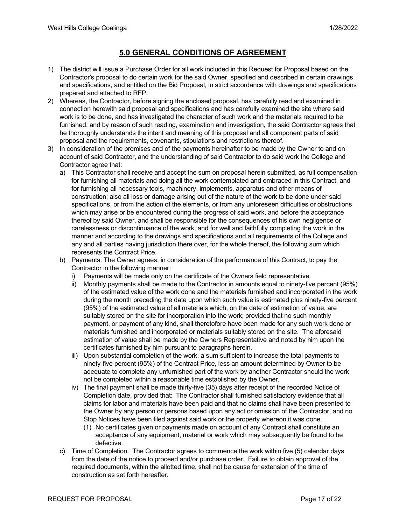## **5.0 GENERAL CONDITIONS OF AGREEMENT**

- 1) The district will issue a Purchase Order for all work included in this Request for Proposal based on the Contractor's proposal to do certain work for the said Owner, specified and described in certain drawings and specifications, and entitled on the Bid Proposal, in strict accordance with drawings and specifications prepared and attached to RFP.
- 2) Whereas, the Contractor, before signing the enclosed proposal, has carefully read and examined in connection herewith said proposal and specifications and has carefully examined the site where said work is to be done, and has investigated the character of such work and the materials required to be furnished, and by reason of such reading, examination and investigation, the said Contractor agrees that he thoroughly understands the intent and meaning of this proposal and all component parts of said proposal and the requirements, covenants, stipulations and restrictions thereof.
- 3) In consideration of the promises and of the payments hereinafter to be made by the Owner to and on account of said Contractor, and the understanding of said Contractor to do said work the College and Contractor agree that:
	- a) This Contractor shall receive and accept the sum on proposal herein submitted, as full compensation for furnishing all materials and doing all the work contemplated and embraced in this Contract, and for furnishing all necessary tools, machinery, implements, apparatus and other means of construction; also all loss or damage arising out of the nature of the work to be done under said specifications, or from the action of the elements, or from any unforeseen difficulties or obstructions which may arise or be encountered during the progress of said work, and before the acceptance thereof by said Owner, and shall be responsible for the consequences of his own negligence or carelessness or discontinuance of the work, and for well and faithfully completing the work in the manner and according to the drawings and specifications and all requirements of the College and any and all parties having jurisdiction there over, for the whole thereof, the following sum which represents the Contract Price.
	- b) Payments: The Owner agrees, in consideration of the performance of this Contract, to pay the Contractor in the following manner:
		- i) Payments will be made only on the certificate of the Owners field representative.
		- ii) Monthly payments shall be made to the Contractor in amounts equal to ninety-five percent (95%) of the estimated value of the work done and the materials furnished and incorporated in the work during the month preceding the date upon which such value is estimated plus ninety-five percent (95%) of the estimated value of all materials which, on the date of estimation of value, are suitably stored on the site for incorporation into the work; provided that no such monthly payment, or payment of any kind, shall theretofore have been made for any such work done or materials furnished and incorporated or materials suitably stored on the site. The aforesaid estimation of value shall be made by the Owners Representative and noted by him upon the certificates furnished by him pursuant to paragraphs herein.
		- iii) Upon substantial completion of the work, a sum sufficient to increase the total payments to ninety-five percent (95%) of the Contract Price, less an amount determined by Owner to be adequate to complete any unfurnished part of the work by another Contractor should the work not be completed within a reasonable time established by the Owner.
		- iv) The final payment shall be made thirty-five (35) days after receipt of the recorded Notice of Completion date, provided that: The Contractor shall furnished satisfactory evidence that all claims for labor and materials have been paid and that no claims shall have been presented to the Owner by any person or persons based upon any act or omission of the Contractor, and no Stop Notices have been filed against said work or the property whereon it was done.
			- (1) No certificates given or payments made on account of any Contract shall constitute an acceptance of any equipment, material or work which may subsequently be found to be defective.
	- c) Time of Completion. The Contractor agrees to commence the work within five (5) calendar days from the date of the notice to proceed and/or purchase order. Failure to obtain approval of the required documents, within the allotted time, shall not be cause for extension of the time of construction as set forth hereafter.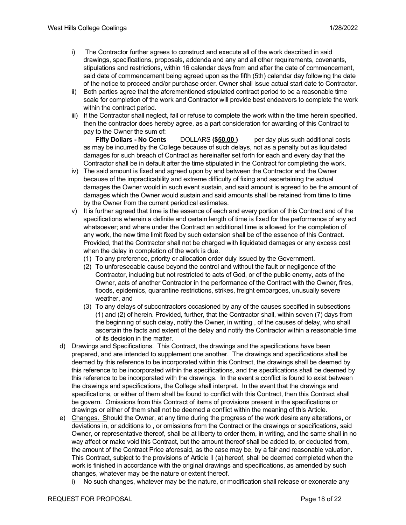- i) The Contractor further agrees to construct and execute all of the work described in said drawings, specifications, proposals, addenda and any and all other requirements, covenants, stipulations and restrictions, within 16 calendar days from and after the date of commencement, said date of commencement being agreed upon as the fifth (5th) calendar day following the date of the notice to proceed and/or purchase order. Owner shall issue actual start date to Contractor.
- ii) Both parties agree that the aforementioned stipulated contract period to be a reasonable time scale for completion of the work and Contractor will provide best endeavors to complete the work within the contract period.
- iii) If the Contractor shall neglect, fail or refuse to complete the work within the time herein specified, then the contractor does hereby agree, as a part consideration for awarding of this Contract to pay to the Owner the sum of:

**Fifty Dollars - No Cents** DOLLARS **(\$50.00 )** per day plus such additional costs as may be incurred by the College because of such delays, not as a penalty but as liquidated damages for such breach of Contract as hereinafter set forth for each and every day that the Contractor shall be in default after the time stipulated in the Contract for completing the work.

- iv) The said amount is fixed and agreed upon by and between the Contractor and the Owner because of the impracticability and extreme difficulty of fixing and ascertaining the actual damages the Owner would in such event sustain, and said amount is agreed to be the amount of damages which the Owner would sustain and said amounts shall be retained from time to time by the Owner from the current periodical estimates.
- v) It is further agreed that time is the essence of each and every portion of this Contract and of the specifications wherein a definite and certain length of time is fixed for the performance of any act whatsoever; and where under the Contract an additional time is allowed for the completion of any work, the new time limit fixed by such extension shall be of the essence of this Contract. Provided, that the Contractor shall not be charged with liquidated damages or any excess cost when the delay in completion of the work is due.
	- (1) To any preference, priority or allocation order duly issued by the Government.
	- (2) To unforeseeable cause beyond the control and without the fault or negligence of the Contractor, including but not restricted to acts of God, or of the public enemy, acts of the Owner, acts of another Contractor in the performance of the Contract with the Owner, fires, floods, epidemics, quarantine restrictions, strikes, freight embargoes, unusually severe weather, and
	- (3) To any delays of subcontractors occasioned by any of the causes specified in subsections (1) and (2) of herein. Provided, further, that the Contractor shall, within seven (7) days from the beginning of such delay, notify the Owner, in writing , of the causes of delay, who shall ascertain the facts and extent of the delay and notify the Contractor within a reasonable time of its decision in the matter.
- d) Drawings and Specifications. This Contract, the drawings and the specifications have been prepared, and are intended to supplement one another. The drawings and specifications shall be deemed by this reference to be incorporated within this Contract, the drawings shall be deemed by this reference to be incorporated within the specifications, and the specifications shall be deemed by this reference to be incorporated with the drawings. In the event a conflict is found to exist between the drawings and specifications, the College shall interpret. In the event that the drawings and specifications, or either of them shall be found to conflict with this Contract, then this Contract shall be govern. Omissions from this Contract of items of provisions present in the specifications or drawings or either of them shall not be deemed a conflict within the meaning of this Article.
- e) Changes. Should the Owner, at any time during the progress of the work desire any alterations, or deviations in, or additions to , or omissions from the Contract or the drawings or specifications, said Owner, or representative thereof, shall be at liberty to order them, in writing, and the same shall in no way affect or make void this Contract, but the amount thereof shall be added to, or deducted from, the amount of the Contract Price aforesaid, as the case may be, by a fair and reasonable valuation. This Contract, subject to the provisions of Article II (a) hereof, shall be deemed completed when the work is finished in accordance with the original drawings and specifications, as amended by such changes, whatever may be the nature or extent thereof.
	- i) No such changes, whatever may be the nature, or modification shall release or exonerate any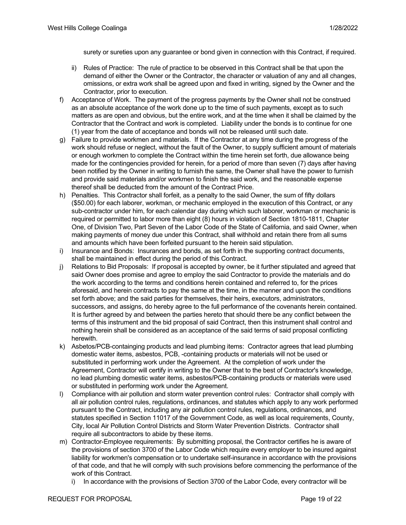surety or sureties upon any guarantee or bond given in connection with this Contract, if required.

- ii) Rules of Practice: The rule of practice to be observed in this Contract shall be that upon the demand of either the Owner or the Contractor, the character or valuation of any and all changes, omissions, or extra work shall be agreed upon and fixed in writing, signed by the Owner and the Contractor, prior to execution.
- f) Acceptance of Work. The payment of the progress payments by the Owner shall not be construed as an absolute acceptance of the work done up to the time of such payments, except as to such matters as are open and obvious, but the entire work, and at the time when it shall be claimed by the Contractor that the Contract and work is completed. Liability under the bonds is to continue for one (1) year from the date of acceptance and bonds will not be released until such date.
- g) Failure to provide workmen and materials. If the Contractor at any time during the progress of the work should refuse or neglect, without the fault of the Owner, to supply sufficient amount of materials or enough workmen to complete the Contract within the time herein set forth, due allowance being made for the contingencies provided for herein, for a period of more than seven (7) days after having been notified by the Owner in writing to furnish the same, the Owner shall have the power to furnish and provide said materials and/or workmen to finish the said work, and the reasonable expense thereof shall be deducted from the amount of the Contract Price.
- h) Penalties. This Contractor shall forfeit, as a penalty to the said Owner, the sum of fifty dollars (\$50.00) for each laborer, workman, or mechanic employed in the execution of this Contract, or any sub-contractor under him, for each calendar day during which such laborer, workman or mechanic is required or permitted to labor more than eight (8) hours in violation of Section 1810-1811, Chapter One, of Division Two, Part Seven of the Labor Code of the State of California, and said Owner, when making payments of money due under this Contract, shall withhold and retain there from all sums and amounts which have been forfeited pursuant to the herein said stipulation.
- i) Insurance and Bonds: Insurances and bonds, as set forth in the supporting contract documents, shall be maintained in effect during the period of this Contract.
- j) Relations to Bid Proposals: If proposal is accepted by owner, be it further stipulated and agreed that said Owner does promise and agree to employ the said Contractor to provide the materials and do the work according to the terms and conditions herein contained and referred to, for the prices aforesaid, and herein contracts to pay the same at the time, in the manner and upon the conditions set forth above; and the said parties for themselves, their heirs, executors, administrators, successors, and assigns, do hereby agree to the full performance of the covenants herein contained. It is further agreed by and between the parties hereto that should there be any conflict between the terms of this instrument and the bid proposal of said Contract, then this instrument shall control and nothing herein shall be considered as an acceptance of the said terms of said proposal conflicting herewith.
- k) Asbetos/PCB-containging products and lead plumbing items: Contractor agrees that lead plumbing domestic water items, asbestos, PCB, -containing products or materials will not be used or substituted in performing work under the Agreement. At the completion of work under the Agreement, Contractor will certify in writing to the Owner that to the best of Contractor's knowledge, no lead plumbing domestic water items, asbestos/PCB-containing products or materials were used or substituted in performing work under the Agreement.
- l) Compliance with air pollution and storm water prevention control rules: Contractor shall comply with all air pollution control rules, regulations, ordinances, and statutes which apply to any work performed pursuant to the Contract, including any air pollution control rules, regulations, ordinances, and statutes specified in Section 11017 of the Government Code, as well as local requirements, County, City, local Air Pollution Control Districts and Storm Water Prevention Districts. Contractor shall require all subcontractors to abide by these items.
- m) Contractor-Employee requirements: By submitting proposal, the Contractor certifies he is aware of the provisions of section 3700 of the Labor Code which require every employer to be insured against liability for workmen's compensation or to undertake self-insurance in accordance with the provisions of that code, and that he will comply with such provisions before commencing the performance of the work of this Contract.
	- i) In accordance with the provisions of Section 3700 of the Labor Code, every contractor will be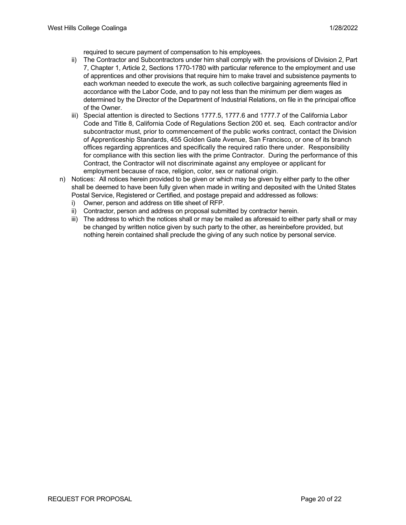required to secure payment of compensation to his employees.

- ii) The Contractor and Subcontractors under him shall comply with the provisions of Division 2, Part 7, Chapter 1, Article 2, Sections 1770-1780 with particular reference to the employment and use of apprentices and other provisions that require him to make travel and subsistence payments to each workman needed to execute the work, as such collective bargaining agreements filed in accordance with the Labor Code, and to pay not less than the minimum per diem wages as determined by the Director of the Department of Industrial Relations, on file in the principal office of the Owner.
- iii) Special attention is directed to Sections 1777.5, 1777.6 and 1777.7 of the California Labor Code and Title 8, California Code of Regulations Section 200 et. seq. Each contractor and/or subcontractor must, prior to commencement of the public works contract, contact the Division of Apprenticeship Standards, 455 Golden Gate Avenue, San Francisco, or one of its branch offices regarding apprentices and specifically the required ratio there under. Responsibility for compliance with this section lies with the prime Contractor. During the performance of this Contract, the Contractor will not discriminate against any employee or applicant for employment because of race, religion, color, sex or national origin.
- n) Notices: All notices herein provided to be given or which may be given by either party to the other shall be deemed to have been fully given when made in writing and deposited with the United States Postal Service, Registered or Certified, and postage prepaid and addressed as follows:
	- i) Owner, person and address on title sheet of RFP.
	- ii) Contractor, person and address on proposal submitted by contractor herein.
	- iii) The address to which the notices shall or may be mailed as aforesaid to either party shall or may be changed by written notice given by such party to the other, as hereinbefore provided, but nothing herein contained shall preclude the giving of any such notice by personal service.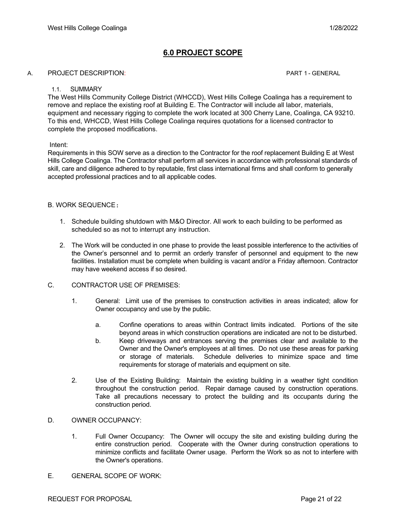## **6.0 PROJECT SCOPE**

#### A. PROJECT DESCRIPTION: PART 1 - GENERAL

#### 1.1. SUMMARY

The West Hills Community College District (WHCCD), West Hills College Coalinga has a requirement to remove and replace the existing roof at Building E. The Contractor will include all labor, materials, equipment and necessary rigging to complete the work located at 300 Cherry Lane, Coalinga, CA 93210. To this end, WHCCD, West Hills College Coalinga requires quotations for a licensed contractor to complete the proposed modifications.

#### Intent:

Requirements in this SOW serve as a direction to the Contractor for the roof replacement Building E at West Hills College Coalinga. The Contractor shall perform all services in accordance with professional standards of skill, care and diligence adhered to by reputable, first class international firms and shall conform to generally accepted professional practices and to all applicable codes.

#### B. WORK SEQUENCE:

- 1. Schedule building shutdown with M&O Director. All work to each building to be performed as scheduled so as not to interrupt any instruction.
- 2. The Work will be conducted in one phase to provide the least possible interference to the activities of the Owner's personnel and to permit an orderly transfer of personnel and equipment to the new facilities. Installation must be complete when building is vacant and/or a Friday afternoon. Contractor may have weekend access if so desired.

#### C. CONTRACTOR USE OF PREMISES:

- 1. General: Limit use of the premises to construction activities in areas indicated; allow for Owner occupancy and use by the public.
	- a. Confine operations to areas within Contract limits indicated. Portions of the site beyond areas in which construction operations are indicated are not to be disturbed.
	- b. Keep driveways and entrances serving the premises clear and available to the Owner and the Owner's employees at all times. Do not use these areas for parking or storage of materials. Schedule deliveries to minimize space and time requirements for storage of materials and equipment on site.
- 2. Use of the Existing Building: Maintain the existing building in a weather tight condition throughout the construction period. Repair damage caused by construction operations. Take all precautions necessary to protect the building and its occupants during the construction period.

#### D. OWNER OCCUPANCY:

- 1. Full Owner Occupancy: The Owner will occupy the site and existing building during the entire construction period. Cooperate with the Owner during construction operations to minimize conflicts and facilitate Owner usage. Perform the Work so as not to interfere with the Owner's operations.
- E. GENERAL SCOPE OF WORK: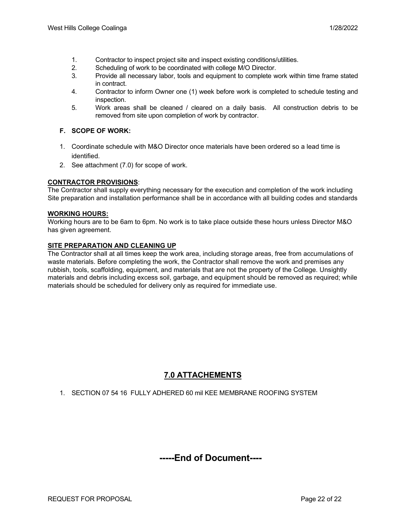- 1. Contractor to inspect project site and inspect existing conditions/utilities.
- 2. Scheduling of work to be coordinated with college M/O Director.
- 3. Provide all necessary labor, tools and equipment to complete work within time frame stated in contract.
- 4. Contractor to inform Owner one (1) week before work is completed to schedule testing and inspection.
- 5. Work areas shall be cleaned / cleared on a daily basis. All construction debris to be removed from site upon completion of work by contractor.

#### **F. SCOPE OF WORK:**

- 1. Coordinate schedule with M&O Director once materials have been ordered so a lead time is identified.
- 2. See attachment (7.0) for scope of work.

#### **CONTRACTOR PROVISIONS**:

The Contractor shall supply everything necessary for the execution and completion of the work including Site preparation and installation performance shall be in accordance with all building codes and standards

#### **WORKING HOURS:**

Working hours are to be 6am to 6pm. No work is to take place outside these hours unless Director M&O has given agreement.

#### **SITE PREPARATION AND CLEANING UP**

The Contractor shall at all times keep the work area, including storage areas, free from accumulations of waste materials. Before completing the work, the Contractor shall remove the work and premises any rubbish, tools, scaffolding, equipment, and materials that are not the property of the College. Unsightly materials and debris including excess soil, garbage, and equipment should be removed as required; while materials should be scheduled for delivery only as required for immediate use.

## **7.0 ATTACHEMENTS**

1. SECTION 07 54 16 FULLY ADHERED 60 mil KEE MEMBRANE ROOFING SYSTEM

# **-----End of Document----**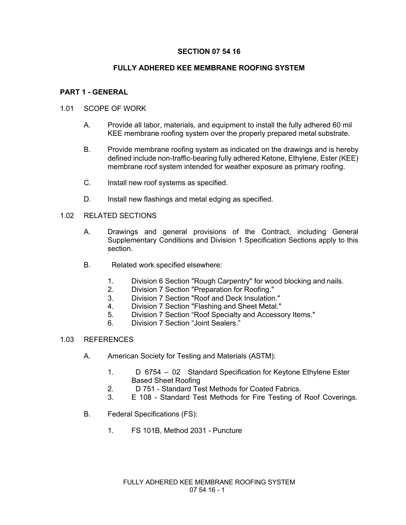## **SECTION 07 54 16**

## **FULLY ADHERED KEE MEMBRANE ROOFING SYSTEM**

## **PART 1 - GENERAL**

## 1.01 SCOPE OF WORK

- A. Provide all labor, materials, and equipment to install the fully adhered 60 mil KEE membrane roofing system over the properly prepared metal substrate.
- B. Provide membrane roofing system as indicated on the drawings and is hereby defined include non-traffic-bearing fully adhered Ketone, Ethylene, Ester (KEE) membrane roof system intended for weather exposure as primary roofing.
- C. Install new roof systems as specified.
- D. Install new flashings and metal edging as specified.

#### 1.02 RELATED SECTIONS

- A. Drawings and general provisions of the Contract, including General Supplementary Conditions and Division 1 Specification Sections apply to this section.
- B. Related work specified elsewhere:
	- 1. Division 6 Section "Rough Carpentry" for wood blocking and nails.
	- 2. Division 7 Section "Preparation for Roofing."
	- 3. Division 7 Section "Roof and Deck Insulation."
	- 4. Division 7 Section "Flashing and Sheet Metal."<br>5. Division 7 Section "Roof Specialty and Accesso
	- 5. Division 7 Section "Roof Specialty and Accessory Items."
	- 6. Division 7 Section "Joint Sealers."

#### 1.03 REFERENCES

- A. American Society for Testing and Materials (ASTM):
	- 1. D 6754 02 Standard Specification for Keytone Ethylene Ester Based Sheet Roofing
	- 2. D 751 Standard Test Methods for Coated Fabrics.
	- 3. E 108 Standard Test Methods for Fire Testing of Roof Coverings.
- B. Federal Specifications (FS):
	- 1. FS 101B, Method 2031 Puncture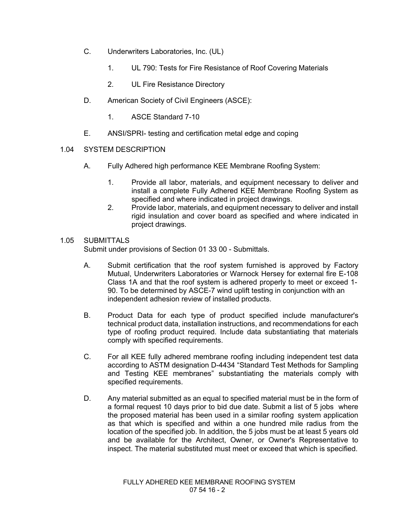- C. Underwriters Laboratories, Inc. (UL)
	- 1. UL 790: Tests for Fire Resistance of Roof Covering Materials
	- 2. UL Fire Resistance Directory
- D. American Society of Civil Engineers (ASCE):
	- 1. ASCE Standard 7-10
- E. ANSI/SPRI- testing and certification metal edge and coping
- 1.04 SYSTEM DESCRIPTION
	- A. Fully Adhered high performance KEE Membrane Roofing System:
		- 1. Provide all labor, materials, and equipment necessary to deliver and install a complete Fully Adhered KEE Membrane Roofing System as specified and where indicated in project drawings.
		- 2. Provide labor, materials, and equipment necessary to deliver and install rigid insulation and cover board as specified and where indicated in project drawings.

## 1.05 SUBMITTALS

Submit under provisions of Section 01 33 00 - Submittals.

- A. Submit certification that the roof system furnished is approved by Factory Mutual, Underwriters Laboratories or Warnock Hersey for external fire E-108 Class 1A and that the roof system is adhered properly to meet or exceed 1- 90. To be determined by ASCE-7 wind uplift testing in conjunction with an independent adhesion review of installed products.
- B. Product Data for each type of product specified include manufacturer's technical product data, installation instructions, and recommendations for each type of roofing product required. Include data substantiating that materials comply with specified requirements.
- C. For all KEE fully adhered membrane roofing including independent test data according to ASTM designation D-4434 "Standard Test Methods for Sampling and Testing KEE membranes" substantiating the materials comply with specified requirements.
- D. Any material submitted as an equal to specified material must be in the form of a formal request 10 days prior to bid due date. Submit a list of 5 jobs where the proposed material has been used in a similar roofing system application as that which is specified and within a one hundred mile radius from the location of the specified job. In addition, the 5 jobs must be at least 5 years old and be available for the Architect, Owner, or Owner's Representative to inspect. The material substituted must meet or exceed that which is specified.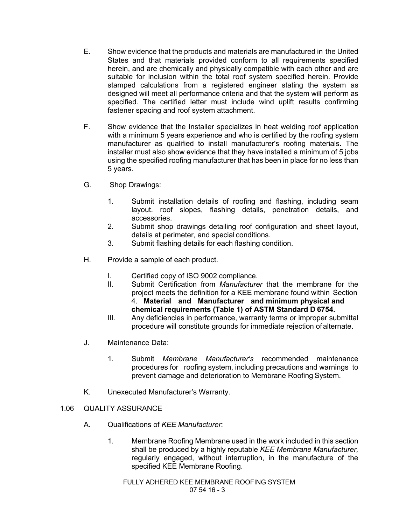- E. Show evidence that the products and materials are manufactured in the United States and that materials provided conform to all requirements specified herein, and are chemically and physically compatible with each other and are suitable for inclusion within the total roof system specified herein. Provide stamped calculations from a registered engineer stating the system as designed will meet all performance criteria and that the system will perform as specified. The certified letter must include wind uplift results confirming fastener spacing and roof system attachment.
- F. Show evidence that the Installer specializes in heat welding roof application with a minimum 5 years experience and who is certified by the roofing system manufacturer as qualified to install manufacturer's roofing materials. The installer must also show evidence that they have installed a minimum of 5 jobs using the specified roofing manufacturer that has been in place for no less than 5 years.
- G. Shop Drawings:
	- 1. Submit installation details of roofing and flashing, including seam layout. roof slopes, flashing details, penetration details, and accessories.
	- 2. Submit shop drawings detailing roof configuration and sheet layout, details at perimeter, and special conditions.
	- 3. Submit flashing details for each flashing condition.
- H. Provide a sample of each product.
	- I. Certified copy of ISO 9002 compliance.
	- II. Submit Certification from *Manufacturer* that the membrane for the project meets the definition for a KEE membrane found within Section 4. **Material and Manufacturer and minimum physical and chemical requirements (Table 1) of ASTM Standard D 6754.**
	- III. Any deficiencies in performance, warranty terms or improper submittal procedure will constitute grounds for immediate rejection ofalternate.
- J. Maintenance Data:
	- 1. Submit *Membrane Manufacturer's* recommended maintenance procedures for roofing system, including precautions and warnings to prevent damage and deterioration to Membrane Roofing System.
- K. Unexecuted Manufacturer's Warranty.
- 1.06 QUALITY ASSURANCE
	- A. Qualifications of *KEE Manufacturer*:
		- 1. Membrane Roofing Membrane used in the work included in this section shall be produced by a highly reputable *KEE Membrane Manufacturer,*  regularly engaged, without interruption, in the manufacture of the specified KEE Membrane Roofing.

FULLY ADHERED KEE MEMBRANE ROOFING SYSTEM 07 54 16 - 3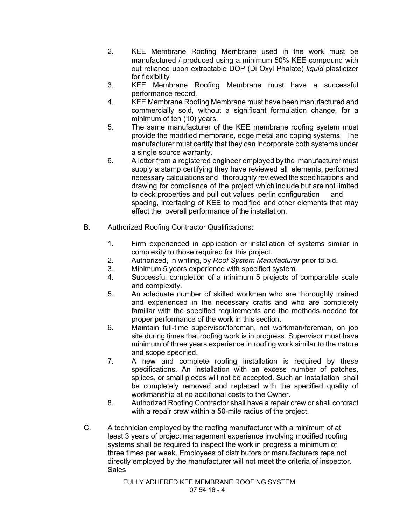- 2. KEE Membrane Roofing Membrane used in the work must be manufactured / produced using a minimum 50% KEE compound with out reliance upon extractable DOP (Di Oxyl Phalate) *liquid* plasticizer for flexibility
- 3. KEE Membrane Roofing Membrane must have a successful performance record.
- 4. KEE Membrane Roofing Membrane must have been manufactured and commercially sold, without a significant formulation change, for a minimum of ten (10) years.
- 5. The same manufacturer of the KEE membrane roofing system must provide the modified membrane, edge metal and coping systems. The manufacturer must certify that they can incorporate both systems under a single source warranty.
- 6. A letter from a registered engineer employed bythe manufacturer must supply a stamp certifying they have reviewed all elements, performed necessary calculations and thoroughly reviewed the specifications and drawing for compliance of the project which include but are not limited to deck properties and pull out values, perlin configuration and spacing, interfacing of KEE to modified and other elements that may effect the overall performance of the installation.
- B. Authorized Roofing Contractor Qualifications:
	- 1. Firm experienced in application or installation of systems similar in complexity to those required for this project.
	- 2. Authorized, in writing, by *Roof System Manufacturer* prior to bid.
	- 3. Minimum 5 years experience with specified system.
	- 4. Successful completion of a minimum 5 projects of comparable scale and complexity.
	- 5. An adequate number of skilled workmen who are thoroughly trained and experienced in the necessary crafts and who are completely familiar with the specified requirements and the methods needed for proper performance of the work in this section.
	- 6. Maintain full-time supervisor/foreman, not workman/foreman, on job site during times that roofing work is in progress. Supervisor must have minimum of three years experience in roofing work similar to the nature and scope specified.
	- 7. A new and complete roofing installation is required by these specifications. An installation with an excess number of patches, splices, or small pieces will not be accepted. Such an installation shall be completely removed and replaced with the specified quality of workmanship at no additional costs to the Owner.
	- 8. Authorized Roofing Contractor shall have a repair crew or shall contract with a repair crew within a 50-mile radius of the project.
- C. A technician employed by the roofing manufacturer with a minimum of at least 3 years of project management experience involving modified roofing systems shall be required to inspect the work in progress a minimum of three times per week. Employees of distributors or manufacturers reps not directly employed by the manufacturer will not meet the criteria of inspector. **Sales**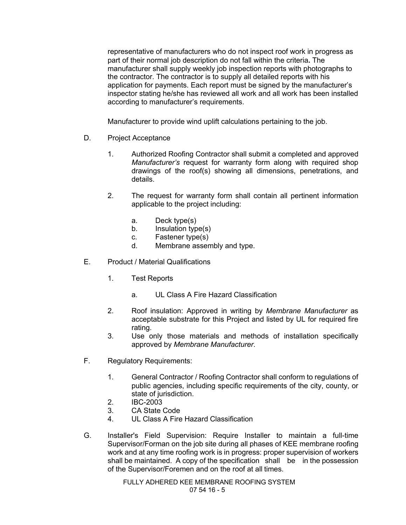representative of manufacturers who do not inspect roof work in progress as part of their normal job description do not fall within the criteria**.** The manufacturer shall supply weekly job inspection reports with photographs to the contractor. The contractor is to supply all detailed reports with his application for payments. Each report must be signed by the manufacturer's inspector stating he/she has reviewed all work and all work has been installed according to manufacturer's requirements.

Manufacturer to provide wind uplift calculations pertaining to the job.

- D. Project Acceptance
	- 1. Authorized Roofing Contractor shall submit a completed and approved *Manufacturer's* request for warranty form along with required shop drawings of the roof(s) showing all dimensions, penetrations, and details.
	- 2. The request for warranty form shall contain all pertinent information applicable to the project including:
		- a. Deck type(s)
		- b. Insulation type(s)
		- c. Fastener type(s)
		- d. Membrane assembly and type.
- E. Product / Material Qualifications
	- 1. Test Reports
		- a. UL Class A Fire Hazard Classification
	- 2. Roof insulation: Approved in writing by *Membrane Manufacturer* as acceptable substrate for this Project and listed by UL for required fire rating.
	- 3. Use only those materials and methods of installation specifically approved by *Membrane Manufacturer*.
- F. Regulatory Requirements:
	- 1. General Contractor / Roofing Contractor shall conform to regulations of public agencies, including specific requirements of the city, county, or state of jurisdiction.
	- 2. IBC-2003
	- 3. CA State Code
	- 4. UL Class A Fire Hazard Classification
- G. Installer's Field Supervision: Require Installer to maintain a full-time Supervisor/Forman on the job site during all phases of KEE membrane roofing work and at any time roofing work is in progress: proper supervision of workers shall be maintained. A copy of the specification shall be in the possession of the Supervisor/Foremen and on the roof at all times.

FULLY ADHERED KEE MEMBRANE ROOFING SYSTEM 07 54 16 - 5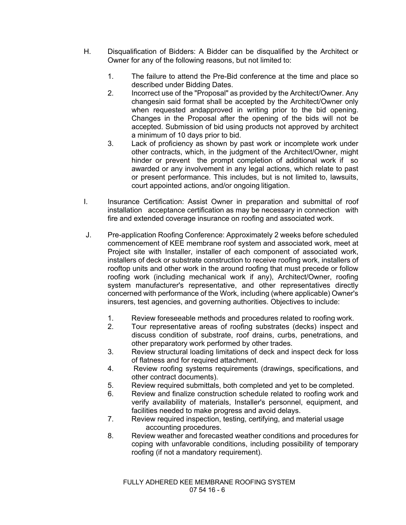- H. Disqualification of Bidders: A Bidder can be disqualified by the Architect or Owner for any of the following reasons, but not limited to:
	- 1. The failure to attend the Pre-Bid conference at the time and place so described under Bidding Dates.
	- 2. Incorrect use of the "Proposal" as provided by the Architect/Owner. Any changesin said format shall be accepted by the Architect/Owner only when requested andapproved in writing prior to the bid opening. Changes in the Proposal after the opening of the bids will not be accepted. Submission of bid using products not approved by architect a minimum of 10 days prior to bid.
	- 3. Lack of proficiency as shown by past work or incomplete work under other contracts, which, in the judgment of the Architect/Owner, might hinder or prevent the prompt completion of additional work if so awarded or any involvement in any legal actions, which relate to past or present performance. This includes, but is not limited to, lawsuits, court appointed actions, and/or ongoing litigation.
- I. Insurance Certification: Assist Owner in preparation and submittal of roof installation acceptance certification as may be necessary in connection with fire and extended coverage insurance on roofing and associated work.
- J. Pre-application Roofing Conference: Approximately 2 weeks before scheduled commencement of KEE membrane roof system and associated work, meet at Project site with Installer, installer of each component of associated work, installers of deck or substrate construction to receive roofing work, installers of rooftop units and other work in the around roofing that must precede or follow roofing work (including mechanical work if any), Architect/Owner, roofing system manufacturer's representative, and other representatives directly concerned with performance of the Work, including (where applicable) Owner's insurers, test agencies, and governing authorities. Objectives to include:
	- 1. Review foreseeable methods and procedures related to roofing work.
	- 2. Tour representative areas of roofing substrates (decks) inspect and discuss condition of substrate, roof drains, curbs, penetrations, and other preparatory work performed by other trades.
	- 3. Review structural loading limitations of deck and inspect deck for loss of flatness and for required attachment.
	- 4. Review roofing systems requirements (drawings, specifications, and other contract documents).
	- 5. Review required submittals, both completed and yet to be completed.
	- 6. Review and finalize construction schedule related to roofing work and verify availability of materials, Installer's personnel, equipment, and facilities needed to make progress and avoid delays.
	- 7. Review required inspection, testing, certifying, and material usage accounting procedures.
	- 8. Review weather and forecasted weather conditions and procedures for coping with unfavorable conditions, including possibility of temporary roofing (if not a mandatory requirement).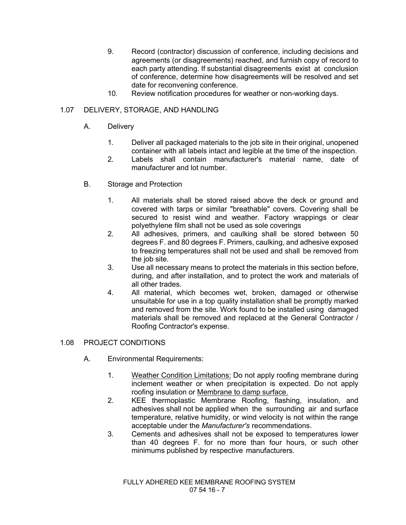- 9. Record (contractor) discussion of conference, including decisions and agreements (or disagreements) reached, and furnish copy of record to each party attending. If substantial disagreements exist at conclusion of conference, determine how disagreements will be resolved and set date for reconvening conference.
- 10. Review notification procedures for weather or non-working days.

## 1.07 DELIVERY, STORAGE, AND HANDLING

- A. Delivery
	- 1. Deliver all packaged materials to the job site in their original, unopened container with all labels intact and legible at the time of the inspection.
	- 2. Labels shall contain manufacturer's material name, date of manufacturer and lot number.
- B. Storage and Protection
	- 1. All materials shall be stored raised above the deck or ground and covered with tarps or similar "breathable" covers. Covering shall be secured to resist wind and weather. Factory wrappings or clear polyethylene film shall not be used as sole coverings
	- 2. All adhesives, primers, and caulking shall be stored between 50 degrees F. and 80 degrees F. Primers, caulking, and adhesive exposed to freezing temperatures shall not be used and shall be removed from the job site.
	- 3. Use all necessary means to protect the materials in this section before, during, and after installation, and to protect the work and materials of all other trades.
	- 4. All material, which becomes wet, broken, damaged or otherwise unsuitable for use in a top quality installation shall be promptly marked and removed from the site. Work found to be installed using damaged materials shall be removed and replaced at the General Contractor / Roofing Contractor's expense.

## 1.08 PROJECT CONDITIONS

- A. Environmental Requirements:
	- 1. Weather Condition Limitations: Do not apply roofing membrane during inclement weather or when precipitation is expected. Do not apply roofing insulation or Membrane to damp surface.
	- 2. KEE thermoplastic Membrane Roofing, flashing, insulation, and adhesives shall not be applied when the surrounding air and surface temperature, relative humidity, or wind velocity is not within the range acceptable under the *Manufacturer's* recommendations.
	- 3. Cements and adhesives shall not be exposed to temperatures lower than 40 degrees F. for no more than four hours, or such other minimums published by respective manufacturers.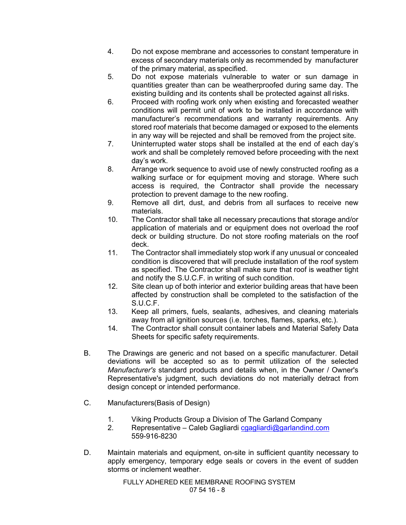- 4. Do not expose membrane and accessories to constant temperature in excess of secondary materials only as recommended by manufacturer of the primary material, as specified.
- 5. Do not expose materials vulnerable to water or sun damage in quantities greater than can be weatherproofed during same day. The existing building and its contents shall be protected against all risks.
- 6. Proceed with roofing work only when existing and forecasted weather conditions will permit unit of work to be installed in accordance with manufacturer's recommendations and warranty requirements. Any stored roof materials that become damaged or exposed to the elements in any way will be rejected and shall be removed from the project site.
- 7. Uninterrupted water stops shall be installed at the end of each day's work and shall be completely removed before proceeding with the next day's work.
- 8. Arrange work sequence to avoid use of newly constructed roofing as a walking surface or for equipment moving and storage. Where such access is required, the Contractor shall provide the necessary protection to prevent damage to the new roofing.
- 9. Remove all dirt, dust, and debris from all surfaces to receive new materials.
- 10. The Contractor shall take all necessary precautions that storage and/or application of materials and or equipment does not overload the roof deck or building structure. Do not store roofing materials on the roof deck.
- 11. The Contractor shall immediately stop work if any unusual or concealed condition is discovered that will preclude installation of the roof system as specified. The Contractor shall make sure that roof is weather tight and notify the S.U.C.F. in writing of such condition.
- 12. Site clean up of both interior and exterior building areas that have been affected by construction shall be completed to the satisfaction of the S.U.C.F.
- 13. Keep all primers, fuels, sealants, adhesives, and cleaning materials away from all ignition sources (i.e. torches, flames, sparks, etc.).
- 14. The Contractor shall consult container labels and Material Safety Data Sheets for specific safety requirements.
- B. The Drawings are generic and not based on a specific manufacturer. Detail deviations will be accepted so as to permit utilization of the selected *Manufacturer's* standard products and details when, in the Owner / Owner's Representative's judgment, such deviations do not materially detract from design concept or intended performance.
- C. Manufacturers(Basis of Design)
	- 1. Viking Products Group a Division of The Garland Company
	- 2. Representative Caleb Gagliardi cgagliardi@garlandind.com 559-916-8230
- D. Maintain materials and equipment, on-site in sufficient quantity necessary to apply emergency, temporary edge seals or covers in the event of sudden storms or inclement weather.

FULLY ADHERED KEE MEMBRANE ROOFING SYSTEM 07 54 16 - 8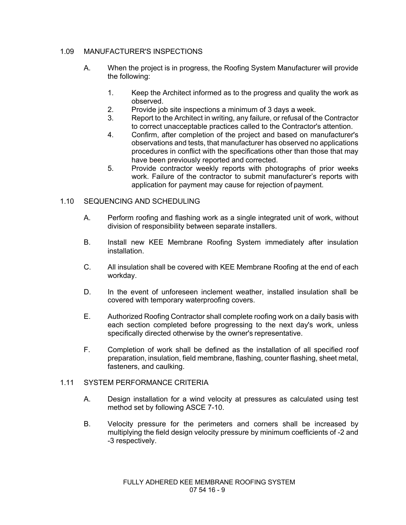## 1.09 MANUFACTURER'S INSPECTIONS

- A. When the project is in progress, the Roofing System Manufacturer will provide the following:
	- 1. Keep the Architect informed as to the progress and quality the work as observed.
	- 2. Provide job site inspections a minimum of 3 days a week.
	- 3. Report to the Architect in writing, any failure, or refusal of the Contractor to correct unacceptable practices called to the Contractor's attention.
	- 4. Confirm, after completion of the project and based on manufacturer's observations and tests, that manufacturer has observed no applications procedures in conflict with the specifications other than those that may have been previously reported and corrected.
	- 5. Provide contractor weekly reports with photographs of prior weeks work. Failure of the contractor to submit manufacturer's reports with application for payment may cause for rejection of payment.

## 1.10 SEQUENCING AND SCHEDULING

- A. Perform roofing and flashing work as a single integrated unit of work, without division of responsibility between separate installers.
- B. Install new KEE Membrane Roofing System immediately after insulation installation.
- C. All insulation shall be covered with KEE Membrane Roofing at the end of each workday.
- D. In the event of unforeseen inclement weather, installed insulation shall be covered with temporary waterproofing covers.
- E. Authorized Roofing Contractor shall complete roofing work on a daily basis with each section completed before progressing to the next day's work, unless specifically directed otherwise by the owner's representative.
- F. Completion of work shall be defined as the installation of all specified roof preparation, insulation, field membrane, flashing, counter flashing, sheet metal, fasteners, and caulking.

## 1.11 SYSTEM PERFORMANCE CRITERIA

- A. Design installation for a wind velocity at pressures as calculated using test method set by following ASCE 7-10.
- B. Velocity pressure for the perimeters and corners shall be increased by multiplying the field design velocity pressure by minimum coefficients of -2 and -3 respectively.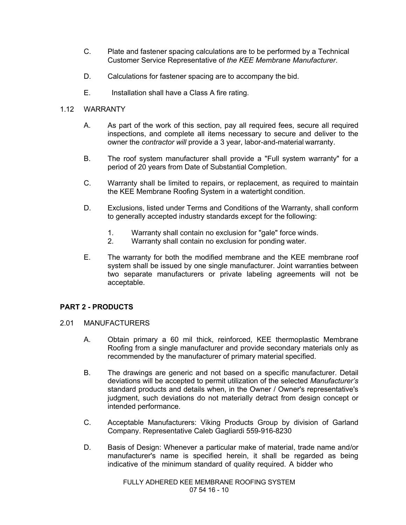- C. Plate and fastener spacing calculations are to be performed by a Technical Customer Service Representative of *the KEE Membrane Manufacturer*.
- D. Calculations for fastener spacing are to accompany the bid.
- E. Installation shall have a Class A fire rating.

## 1.12 WARRANTY

- A. As part of the work of this section, pay all required fees, secure all required inspections, and complete all items necessary to secure and deliver to the owner the *contractor will* provide a 3 year, labor-and-material warranty.
- B. The roof system manufacturer shall provide a "Full system warranty" for a period of 20 years from Date of Substantial Completion.
- C. Warranty shall be limited to repairs, or replacement, as required to maintain the KEE Membrane Roofing System in a watertight condition.
- D. Exclusions, listed under Terms and Conditions of the Warranty, shall conform to generally accepted industry standards except for the following:
	- 1. Warranty shall contain no exclusion for "gale" force winds.<br>2. Warranty shall contain no exclusion for ponding water.
	- Warranty shall contain no exclusion for ponding water.
- E. The warranty for both the modified membrane and the KEE membrane roof system shall be issued by one single manufacturer. Joint warranties between two separate manufacturers or private labeling agreements will not be acceptable.

## **PART 2 - PRODUCTS**

## 2.01 MANUFACTURERS

- A. Obtain primary a 60 mil thick, reinforced, KEE thermoplastic Membrane Roofing from a single manufacturer and provide secondary materials only as recommended by the manufacturer of primary material specified.
- B. The drawings are generic and not based on a specific manufacturer. Detail deviations will be accepted to permit utilization of the selected *Manufacturer's*  standard products and details when, in the Owner / Owner's representative's judgment, such deviations do not materially detract from design concept or intended performance.
- C. Acceptable Manufacturers: Viking Products Group by division of Garland Company. Representative Caleb Gagliardi 559-916-8230
- D. Basis of Design: Whenever a particular make of material, trade name and/or manufacturer's name is specified herein, it shall be regarded as being indicative of the minimum standard of quality required. A bidder who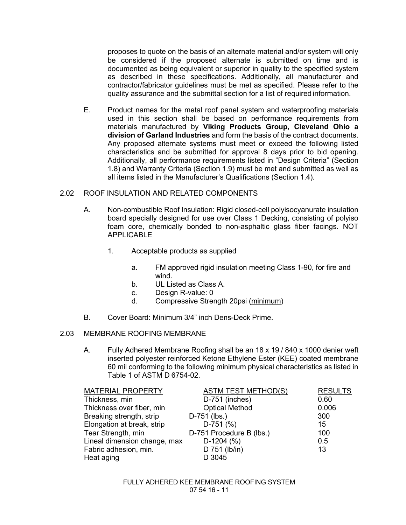proposes to quote on the basis of an alternate material and/or system will only be considered if the proposed alternate is submitted on time and is documented as being equivalent or superior in quality to the specified system as described in these specifications. Additionally, all manufacturer and contractor/fabricator guidelines must be met as specified. Please refer to the quality assurance and the submittal section for a list of required information.

E. Product names for the metal roof panel system and waterproofing materials used in this section shall be based on performance requirements from materials manufactured by **Viking Products Group, Cleveland Ohio a division of Garland Industries** and form the basis of the contract documents. Any proposed alternate systems must meet or exceed the following listed characteristics and be submitted for approval 8 days prior to bid opening. Additionally, all performance requirements listed in "Design Criteria" (Section 1.8) and Warranty Criteria (Section 1.9) must be met and submitted as well as all items listed in the Manufacturer's Qualifications (Section 1.4).

## 2.02 ROOF INSULATION AND RELATED COMPONENTS

- A. Non-combustible Roof Insulation: Rigid closed-cell polyisocyanurate insulation board specially designed for use over Class 1 Decking, consisting of polyiso foam core, chemically bonded to non-asphaltic glass fiber facings. NOT APPLICABLE
	- 1. Acceptable products as supplied
		- a. FM approved rigid insulation meeting Class 1-90, for fire and wind.
		- b. UL Listed as Class A.
		- c. Design R-value: 0
		- d. Compressive Strength 20psi (minimum)
- B. Cover Board: Minimum 3/4" inch Dens-Deck Prime.

## 2.03 MEMBRANE ROOFING MEMBRANE

A. Fully Adhered Membrane Roofing shall be an 18 x 19 / 840 x 1000 denier weft inserted polyester reinforced Ketone Ethylene Ester (KEE) coated membrane 60 mil conforming to the following minimum physical characteristics as listed in Table 1 of ASTM D 6754-02.

| <b>MATERIAL PROPERTY</b>     | <b>ASTM TEST METHOD(S)</b> | <b>RESULTS</b> |
|------------------------------|----------------------------|----------------|
| Thickness, min               | D-751 (inches)             | 0.60           |
| Thickness over fiber, min    | <b>Optical Method</b>      | 0.006          |
| Breaking strength, strip     | D-751 (lbs.)               | 300            |
| Elongation at break, strip   | $D-751$ (%)                | 15             |
| Tear Strength, min           | D-751 Procedure B (lbs.)   | 100            |
| Lineal dimension change, max | $D-1204$ (%)               | 0.5            |
| Fabric adhesion, min.        | D 751 (lb/in)              | 13             |
| Heat aging                   | D 3045                     |                |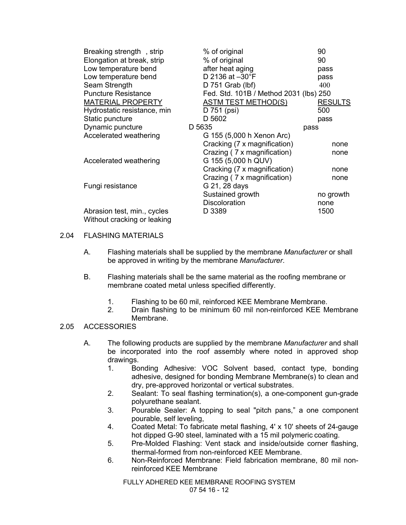| Breaking strength, strip    | % of original                          | 90             |
|-----------------------------|----------------------------------------|----------------|
| Elongation at break, strip  | % of original                          | 90             |
| Low temperature bend        | after heat aging                       | pass           |
| Low temperature bend        | D 2136 at -30°F                        | pass           |
| Seam Strength               | D 751 Grab (lbf)                       | 400            |
| <b>Puncture Resistance</b>  | Fed. Std. 101B / Method 2031 (lbs) 250 |                |
| <b>MATERIAL PROPERTY</b>    | <b>ASTM TEST METHOD(S)</b>             | <b>RESULTS</b> |
| Hydrostatic resistance, min | D 751 (psi)                            | 500            |
| Static puncture             | D 5602                                 | pass           |
| Dynamic puncture            | D 5635                                 | pass           |
| Accelerated weathering      | G 155 (5,000 h Xenon Arc)              |                |
|                             | Cracking (7 x magnification)           | none           |
|                             | Crazing (7 x magnification)            | none           |
| Accelerated weathering      | G 155 (5,000 h QUV)                    |                |
|                             | Cracking (7 x magnification)           | none           |
|                             | Crazing (7 x magnification)            | none           |
| Fungi resistance            | G 21, 28 days                          |                |
|                             | Sustained growth                       | no growth      |
|                             | <b>Discoloration</b>                   | none           |
| Abrasion test, min., cycles | D 3389                                 | 1500           |
| Without cracking or leaking |                                        |                |

## 2.04 FLASHING MATERIALS

- A. Flashing materials shall be supplied by the membrane *Manufacturer* or shall be approved in writing by the membrane *Manufacturer*.
- B. Flashing materials shall be the same material as the roofing membrane or membrane coated metal unless specified differently.
	- 1. Flashing to be 60 mil, reinforced KEE Membrane Membrane.
	- 2. Drain flashing to be minimum 60 mil non-reinforced KEE Membrane Membrane.

## 2.05 ACCESSORIES

- A. The following products are supplied by the membrane *Manufacturer* and shall be incorporated into the roof assembly where noted in approved shop drawings.
	- 1. Bonding Adhesive: VOC Solvent based, contact type, bonding adhesive, designed for bonding Membrane Membrane(s) to clean and dry, pre-approved horizontal or vertical substrates.
	- 2. Sealant: To seal flashing termination(s), a one-component gun-grade polyurethane sealant.
	- 3. Pourable Sealer: A topping to seal "pitch pans," a one component pourable, self leveling,
	- 4. Coated Metal: To fabricate metal flashing, 4' x 10' sheets of 24-gauge hot dipped G-90 steel, laminated with a 15 mil polymeric coating.
	- 5. Pre-Molded Flashing: Vent stack and inside/outside corner flashing, thermal-formed from non-reinforced KEE Membrane.
	- 6. Non-Reinforced Membrane: Field fabrication membrane, 80 mil nonreinforced KEE Membrane

FULLY ADHERED KEE MEMBRANE ROOFING SYSTEM 07 54 16 - 12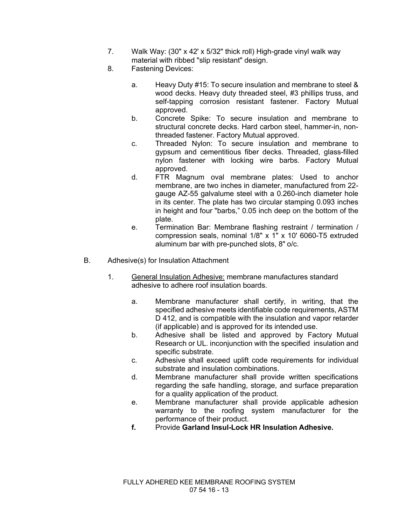- 7. Walk Way: (30" x 42' x 5/32" thick roll) High-grade vinyl walk way material with ribbed "slip resistant" design.
- 8. Fastening Devices:
	- a. Heavy Duty #15: To secure insulation and membrane to steel & wood decks. Heavy duty threaded steel, #3 phillips truss, and self-tapping corrosion resistant fastener. Factory Mutual approved.
	- b. Concrete Spike: To secure insulation and membrane to structural concrete decks. Hard carbon steel, hammer-in, nonthreaded fastener. Factory Mutual approved.
	- c. Threaded Nylon: To secure insulation and membrane to gypsum and cementitious fiber decks. Threaded, glass-filled nylon fastener with locking wire barbs. Factory Mutual approved.
	- d. FTR Magnum oval membrane plates: Used to anchor membrane, are two inches in diameter, manufactured from 22 gauge AZ-55 galvalume steel with a 0.260-inch diameter hole in its center. The plate has two circular stamping 0.093 inches in height and four "barbs," 0.05 inch deep on the bottom of the plate.
	- e. Termination Bar: Membrane flashing restraint / termination / compression seals, nominal 1/8" x 1" x 10' 6060-T5 extruded aluminum bar with pre-punched slots, 8" o/c.
- B. Adhesive(s) for Insulation Attachment
	- 1. General Insulation Adhesive: membrane manufactures standard adhesive to adhere roof insulation boards.
		- a. Membrane manufacturer shall certify, in writing, that the specified adhesive meets identifiable code requirements, ASTM D 412, and is compatible with the insulation and vapor retarder (if applicable) and is approved for its intended use.
		- b. Adhesive shall be listed and approved by Factory Mutual Research or UL. inconjunction with the specified insulation and specific substrate.
		- c. Adhesive shall exceed uplift code requirements for individual substrate and insulation combinations.
		- d. Membrane manufacturer shall provide written specifications regarding the safe handling, storage, and surface preparation for a quality application of the product.
		- e. Membrane manufacturer shall provide applicable adhesion warranty to the roofing system manufacturer for the performance of their product.
		- **f.** Provide **Garland Insul-Lock HR Insulation Adhesive.**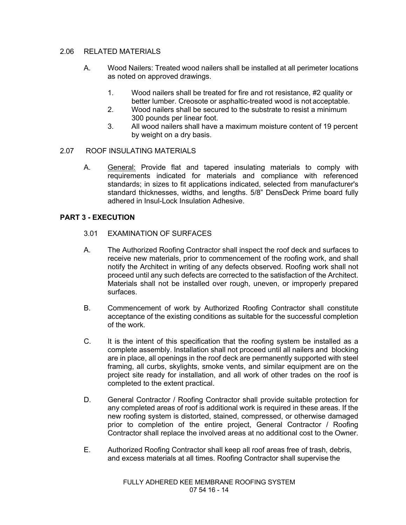## 2.06 RELATED MATERIALS

- A. Wood Nailers: Treated wood nailers shall be installed at all perimeter locations as noted on approved drawings.
	- 1. Wood nailers shall be treated for fire and rot resistance, #2 quality or better lumber. Creosote or asphaltic-treated wood is not acceptable.
	- 2. Wood nailers shall be secured to the substrate to resist a minimum 300 pounds per linear foot.
	- 3. All wood nailers shall have a maximum moisture content of 19 percent by weight on a dry basis.

## 2.07 ROOF INSULATING MATERIALS

A. General: Provide flat and tapered insulating materials to comply with requirements indicated for materials and compliance with referenced standards; in sizes to fit applications indicated, selected from manufacturer's standard thicknesses, widths, and lengths. 5/8" DensDeck Prime board fully adhered in Insul-Lock Insulation Adhesive.

## **PART 3 - EXECUTION**

- 3.01 EXAMINATION OF SURFACES
- A. The Authorized Roofing Contractor shall inspect the roof deck and surfaces to receive new materials, prior to commencement of the roofing work, and shall notify the Architect in writing of any defects observed. Roofing work shall not proceed until any such defects are corrected to the satisfaction of the Architect. Materials shall not be installed over rough, uneven, or improperly prepared surfaces.
- B. Commencement of work by Authorized Roofing Contractor shall constitute acceptance of the existing conditions as suitable for the successful completion of the work.
- C. It is the intent of this specification that the roofing system be installed as a complete assembly. Installation shall not proceed until all nailers and blocking are in place, all openings in the roof deck are permanently supported with steel framing, all curbs, skylights, smoke vents, and similar equipment are on the project site ready for installation, and all work of other trades on the roof is completed to the extent practical.
- D. General Contractor / Roofing Contractor shall provide suitable protection for any completed areas of roof is additional work is required in these areas. If the new roofing system is distorted, stained, compressed, or otherwise damaged prior to completion of the entire project, General Contractor / Roofing Contractor shall replace the involved areas at no additional cost to the Owner.
- E. Authorized Roofing Contractor shall keep all roof areas free of trash, debris, and excess materials at all times. Roofing Contractor shall supervise the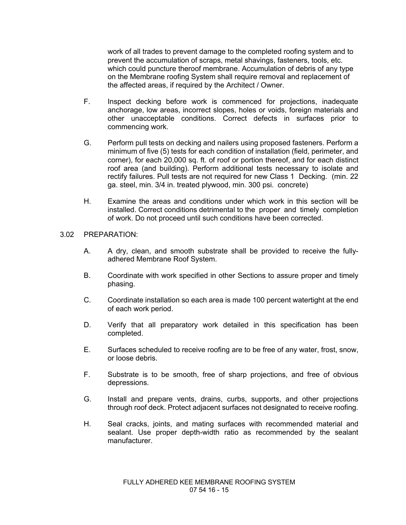work of all trades to prevent damage to the completed roofing system and to prevent the accumulation of scraps, metal shavings, fasteners, tools, etc. which could puncture theroof membrane. Accumulation of debris of any type on the Membrane roofing System shall require removal and replacement of the affected areas, if required by the Architect / Owner.

- F. Inspect decking before work is commenced for projections, inadequate anchorage, low areas, incorrect slopes, holes or voids, foreign materials and other unacceptable conditions. Correct defects in surfaces prior to commencing work.
- G. Perform pull tests on decking and nailers using proposed fasteners. Perform a minimum of five (5) tests for each condition of installation (field, perimeter, and corner), for each 20,000 sq. ft. of roof or portion thereof, and for each distinct roof area (and building). Perform additional tests necessary to isolate and rectify failures. Pull tests are not required for new Class 1 Decking. (min. 22 ga. steel, min. 3/4 in. treated plywood, min. 300 psi. concrete)
- H. Examine the areas and conditions under which work in this section will be installed. Correct conditions detrimental to the proper and timely completion of work. Do not proceed until such conditions have been corrected.

## 3.02 PREPARATION:

- A. A dry, clean, and smooth substrate shall be provided to receive the fullyadhered Membrane Roof System.
- B. Coordinate with work specified in other Sections to assure proper and timely phasing.
- C. Coordinate installation so each area is made 100 percent watertight at the end of each work period.
- D. Verify that all preparatory work detailed in this specification has been completed.
- E. Surfaces scheduled to receive roofing are to be free of any water, frost, snow, or loose debris.
- F. Substrate is to be smooth, free of sharp projections, and free of obvious depressions.
- G. Install and prepare vents, drains, curbs, supports, and other projections through roof deck. Protect adjacent surfaces not designated to receive roofing.
- H. Seal cracks, joints, and mating surfaces with recommended material and sealant. Use proper depth-width ratio as recommended by the sealant manufacturer.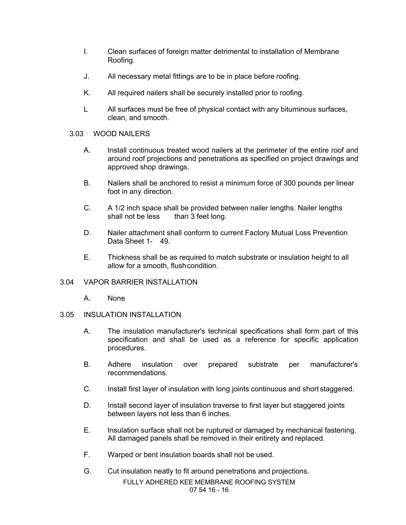- I. Clean surfaces of foreign matter detrimental to installation of Membrane Roofing.
- J. All necessary metal fittings are to be in place before roofing.
- K. All required nailers shall be securely installed prior to roofing.
- L All surfaces must be free of physical contact with any bituminous surfaces, clean, and smooth.

## 3.03 WOOD NAILERS

- A. Install continuous treated wood nailers at the perimeter of the entire roof and around roof projections and penetrations as specified on project drawings and approved shop drawings.
- B. Nailers shall be anchored to resist a minimum force of 300 pounds per linear foot in any direction.
- C. A 1/2 inch space shall be provided between nailer lengths. Nailer lengths shall not be less than 3 feet long.
- D. Nailer attachment shall conform to current Factory Mutual Loss Prevention Data Sheet 1- 49.
- E. Thickness shall be as required to match substrate or insulation height to all allow for a smooth, flushcondition.

## 3.04 VAPOR BARRIER INSTALLATION

A. None

## 3.05 INSULATION INSTALLATION

- A. The insulation manufacturer's technical specifications shall form part of this specification and shall be used as a reference for specific application procedures.
- B. Adhere insulation over prepared substrate per manufacturer's recommendations.
- C. Install first layer of insulation with long joints continuous and short staggered.
- D. Install second layer of insulation traverse to first layer but staggered joints between layers not less than 6 inches.
- E. Insulation surface shall not be ruptured or damaged by mechanical fastening. All damaged panels shall be removed in their entirety and replaced.
- F. Warped or bent insulation boards shall not be used.
- G. Cut insulation neatly to fit around penetrations and projections.

FULLY ADHERED KEE MEMBRANE ROOFING SYSTEM 07 54 16 - 16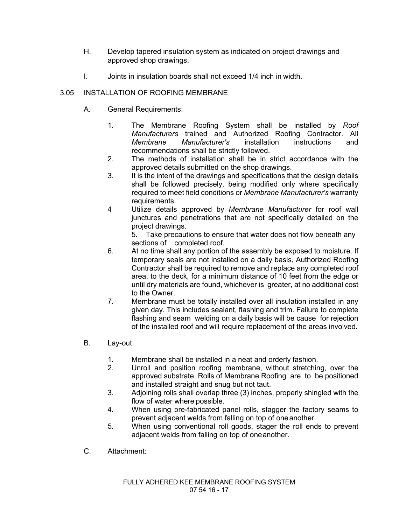- H. Develop tapered insulation system as indicated on project drawings and approved shop drawings.
- I. Joints in insulation boards shall not exceed 1/4 inch in width.

## 3.05 INSTALLATION OF ROOFING MEMBRANE

- A. General Requirements:
	- 1. The Membrane Roofing System shall be installed by *Roof Manufacturers* trained and Authorized Roofing Contractor. All *Membrane Manufacturer's* installation instructions and recommendations shall be strictly followed.
	- 2. The methods of installation shall be in strict accordance with the approved details submitted on the shop drawings.
	- 3. It is the intent of the drawings and specifications that the design details shall be followed precisely, being modified only where specifically required to meet field conditions or *Membrane Manufacturer's* warranty requirements.
	- 4 Utilize details approved by *Membrane Manufacturer* for roof wall junctures and penetrations that are not specifically detailed on the project drawings.

5. Take precautions to ensure that water does not flow beneath any sections of completed roof.

- 6. At no time shall any portion of the assembly be exposed to moisture. If temporary seals are not installed on a daily basis, Authorized Roofing Contractor shall be required to remove and replace any completed roof area, to the deck, for a minimum distance of 10 feet from the edge or until dry materials are found, whichever is greater, at no additional cost to the Owner.
- 7. Membrane must be totally installed over all insulation installed in any given day. This includes sealant, flashing and trim. Failure to complete flashing and seam welding on a daily basis will be cause for rejection of the installed roof and will require replacement of the areas involved.
- B. Lay-out:
	- 1. Membrane shall be installed in a neat and orderly fashion.
	- 2. Unroll and position roofing membrane, without stretching, over the approved substrate. Rolls of Membrane Roofing are to be positioned and installed straight and snug but not taut.
	- 3. Adjoining rolls shall overlap three (3) inches, properly shingled with the flow of water where possible.
	- 4. When using pre-fabricated panel rolls, stagger the factory seams to prevent adjacent welds from falling on top of oneanother.
	- 5. When using conventional roll goods, stager the roll ends to prevent adjacent welds from falling on top of oneanother.
- C. Attachment: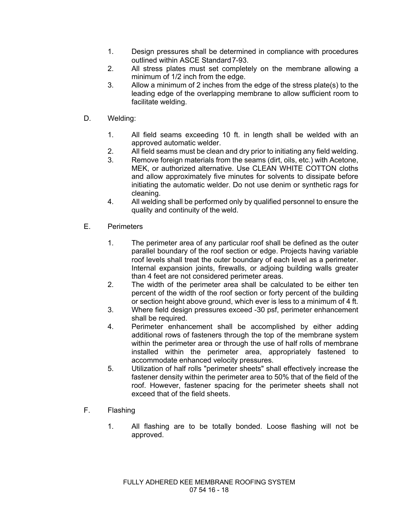- 1. Design pressures shall be determined in compliance with procedures outlined within ASCE Standard 7-93.
- 2. All stress plates must set completely on the membrane allowing a minimum of 1/2 inch from the edge.
- 3. Allow a minimum of 2 inches from the edge of the stress plate(s) to the leading edge of the overlapping membrane to allow sufficient room to facilitate welding.
- D. Welding:
	- 1. All field seams exceeding 10 ft. in length shall be welded with an approved automatic welder.
	- 2. All field seams must be clean and dry prior to initiating any field welding.
	- 3. Remove foreign materials from the seams (dirt, oils, etc.) with Acetone, MEK, or authorized alternative. Use CLEAN WHITE COTTON cloths and allow approximately five minutes for solvents to dissipate before initiating the automatic welder. Do not use denim or synthetic rags for cleaning.
	- 4. All welding shall be performed only by qualified personnel to ensure the quality and continuity of the weld.
- E. Perimeters
	- 1. The perimeter area of any particular roof shall be defined as the outer parallel boundary of the roof section or edge. Projects having variable roof levels shall treat the outer boundary of each level as a perimeter. Internal expansion joints, firewalls, or adjoing building walls greater than 4 feet are not considered perimeter areas.
	- 2. The width of the perimeter area shall be calculated to be either ten percent of the width of the roof section or forty percent of the building or section height above ground, which ever is less to a minimum of 4 ft.
	- 3. Where field design pressures exceed -30 psf, perimeter enhancement shall be required.
	- 4. Perimeter enhancement shall be accomplished by either adding additional rows of fasteners through the top of the membrane system within the perimeter area or through the use of half rolls of membrane installed within the perimeter area, appropriately fastened to accommodate enhanced velocity pressures.
	- 5. Utilization of half rolls "perimeter sheets" shall effectively increase the fastener density within the perimeter area to 50% that of the field of the roof. However, fastener spacing for the perimeter sheets shall not exceed that of the field sheets.
- F. Flashing
	- 1. All flashing are to be totally bonded. Loose flashing will not be approved.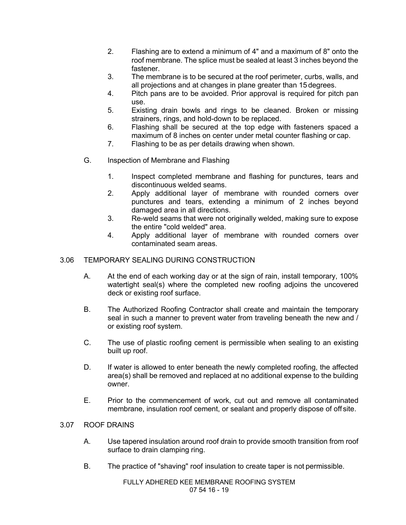- 2. Flashing are to extend a minimum of 4" and a maximum of 8" onto the roof membrane. The splice must be sealed at least 3 inches beyond the fastener.
- 3. The membrane is to be secured at the roof perimeter, curbs, walls, and all projections and at changes in plane greater than 15 degrees.
- 4. Pitch pans are to be avoided. Prior approval is required for pitch pan use.
- 5. Existing drain bowls and rings to be cleaned. Broken or missing strainers, rings, and hold-down to be replaced.
- 6. Flashing shall be secured at the top edge with fasteners spaced a maximum of 8 inches on center under metal counter flashing or cap.
- 7. Flashing to be as per details drawing when shown.
- G. Inspection of Membrane and Flashing
	- 1. Inspect completed membrane and flashing for punctures, tears and discontinuous welded seams.
	- 2. Apply additional layer of membrane with rounded corners over punctures and tears, extending a minimum of 2 inches beyond damaged area in all directions.
	- 3. Re-weld seams that were not originally welded, making sure to expose the entire "cold welded" area.
	- 4. Apply additional layer of membrane with rounded corners over contaminated seam areas.

## 3.06 TEMPORARY SEALING DURING CONSTRUCTION

- A. At the end of each working day or at the sign of rain, install temporary, 100% watertight seal(s) where the completed new roofing adjoins the uncovered deck or existing roof surface.
- B. The Authorized Roofing Contractor shall create and maintain the temporary seal in such a manner to prevent water from traveling beneath the new and / or existing roof system.
- C. The use of plastic roofing cement is permissible when sealing to an existing built up roof.
- D. If water is allowed to enter beneath the newly completed roofing, the affected area(s) shall be removed and replaced at no additional expense to the building owner.
- E. Prior to the commencement of work, cut out and remove all contaminated membrane, insulation roof cement, or sealant and properly dispose of off site.

## 3.07 ROOF DRAINS

- A. Use tapered insulation around roof drain to provide smooth transition from roof surface to drain clamping ring.
- B. The practice of "shaving" roof insulation to create taper is not permissible.

FULLY ADHERED KEE MEMBRANE ROOFING SYSTEM 07 54 16 - 19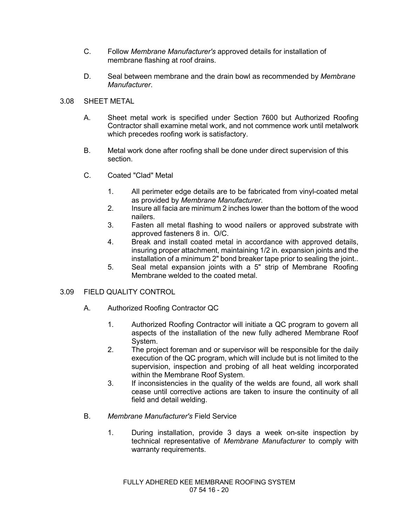- C. Follow *Membrane Manufacturer's* approved details for installation of membrane flashing at roof drains.
- D. Seal between membrane and the drain bowl as recommended by *Membrane Manufacturer*.

## 3.08 SHEET METAL

- A. Sheet metal work is specified under Section 7600 but Authorized Roofing Contractor shall examine metal work, and not commence work until metalwork which precedes roofing work is satisfactory.
- B. Metal work done after roofing shall be done under direct supervision of this section.
- C. Coated "Clad" Metal
	- 1. All perimeter edge details are to be fabricated from vinyl-coated metal as provided by *Membrane Manufacturer*.
	- 2. Insure all facia are minimum 2 inches lower than the bottom of the wood nailers.
	- 3. Fasten all metal flashing to wood nailers or approved substrate with approved fasteners 8 in. O/C.
	- 4. Break and install coated metal in accordance with approved details, insuring proper attachment, maintaining 1/2 in. expansion joints and the installation of a minimum 2" bond breaker tape prior to sealing the joint..
	- 5. Seal metal expansion joints with a 5" strip of Membrane Roofing Membrane welded to the coated metal.

## 3.09 FIELD QUALITY CONTROL

- A. Authorized Roofing Contractor QC
	- 1. Authorized Roofing Contractor will initiate a QC program to govern all aspects of the installation of the new fully adhered Membrane Roof System.
	- 2. The project foreman and or supervisor will be responsible for the daily execution of the QC program, which will include but is not limited to the supervision, inspection and probing of all heat welding incorporated within the Membrane Roof System.
	- 3. If inconsistencies in the quality of the welds are found, all work shall cease until corrective actions are taken to insure the continuity of all field and detail welding.
- B. *Membrane Manufacturer's* Field Service
	- 1. During installation, provide 3 days a week on-site inspection by technical representative of *Membrane Manufacturer* to comply with warranty requirements.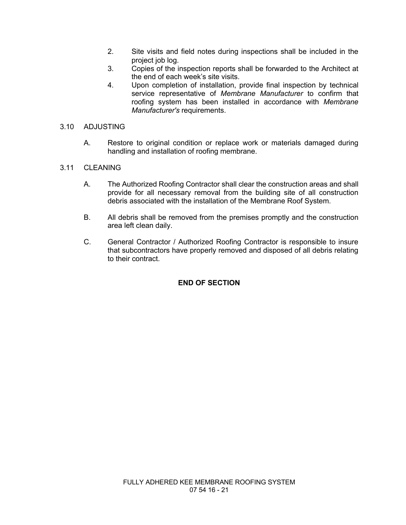- 2. Site visits and field notes during inspections shall be included in the project job log.
- 3. Copies of the inspection reports shall be forwarded to the Architect at the end of each week's site visits.
- 4. Upon completion of installation, provide final inspection by technical service representative of *Membrane Manufacturer* to confirm that roofing system has been installed in accordance with *Membrane Manufacturer's* requirements.

#### 3.10 ADJUSTING

A. Restore to original condition or replace work or materials damaged during handling and installation of roofing membrane.

## 3.11 CLEANING

- A. The Authorized Roofing Contractor shall clear the construction areas and shall provide for all necessary removal from the building site of all construction debris associated with the installation of the Membrane Roof System.
- B. All debris shall be removed from the premises promptly and the construction area left clean daily.
- C. General Contractor / Authorized Roofing Contractor is responsible to insure that subcontractors have properly removed and disposed of all debris relating to their contract.

## **END OF SECTION**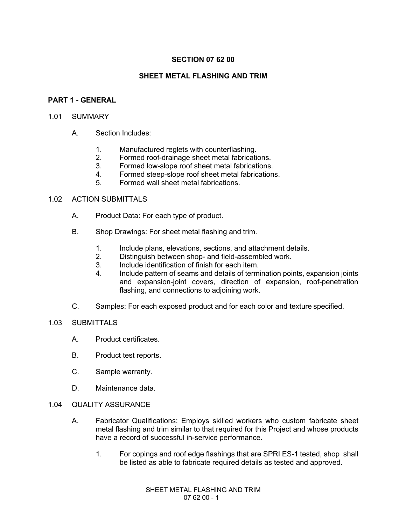## **SECTION 07 62 00**

## **SHEET METAL FLASHING AND TRIM**

## **PART 1 - GENERAL**

#### 1.01 SUMMARY

- A. Section Includes:
	- 1. Manufactured reglets with counterflashing.
	- 2. Formed roof-drainage sheet metal fabrications.
	- 3. Formed low-slope roof sheet metal fabrications.
	- 4. Formed steep-slope roof sheet metal fabrications.
	- 5. Formed wall sheet metal fabrications.

#### 1.02 ACTION SUBMITTALS

- A. Product Data: For each type of product.
- B. Shop Drawings: For sheet metal flashing and trim.
	- 1. Include plans, elevations, sections, and attachment details.
	- 2. Distinguish between shop- and field-assembled work.
	- 3. Include identification of finish for each item.
	- 4. Include pattern of seams and details of termination points, expansion joints and expansion-joint covers, direction of expansion, roof-penetration flashing, and connections to adjoining work.
- C. Samples: For each exposed product and for each color and texture specified.

#### 1.03 SUBMITTALS

- A. Product certificates.
- B. Product test reports.
- C. Sample warranty.
- D. Maintenance data.

#### 1.04 QUALITY ASSURANCE

- A. Fabricator Qualifications: Employs skilled workers who custom fabricate sheet metal flashing and trim similar to that required for this Project and whose products have a record of successful in-service performance.
	- 1. For copings and roof edge flashings that are SPRI ES-1 tested, shop shall be listed as able to fabricate required details as tested and approved.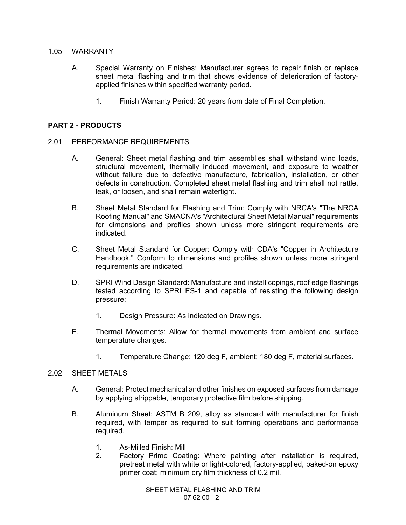#### 1.05 WARRANTY

- A. Special Warranty on Finishes: Manufacturer agrees to repair finish or replace sheet metal flashing and trim that shows evidence of deterioration of factoryapplied finishes within specified warranty period.
	- 1. Finish Warranty Period: 20 years from date of Final Completion.

## **PART 2 - PRODUCTS**

- 2.01 PERFORMANCE REQUIREMENTS
	- A. General: Sheet metal flashing and trim assemblies shall withstand wind loads, structural movement, thermally induced movement, and exposure to weather without failure due to defective manufacture, fabrication, installation, or other defects in construction. Completed sheet metal flashing and trim shall not rattle, leak, or loosen, and shall remain watertight.
	- B. Sheet Metal Standard for Flashing and Trim: Comply with NRCA's "The NRCA Roofing Manual" and SMACNA's "Architectural Sheet Metal Manual" requirements for dimensions and profiles shown unless more stringent requirements are indicated.
	- C. Sheet Metal Standard for Copper: Comply with CDA's "Copper in Architecture Handbook." Conform to dimensions and profiles shown unless more stringent requirements are indicated.
	- D. SPRI Wind Design Standard: Manufacture and install copings, roof edge flashings tested according to SPRI ES-1 and capable of resisting the following design pressure:
		- 1. Design Pressure: As indicated on Drawings.
	- E. Thermal Movements: Allow for thermal movements from ambient and surface temperature changes.
		- 1. Temperature Change: 120 deg F, ambient; 180 deg F, material surfaces.

#### 2.02 SHEET METALS

- A. General: Protect mechanical and other finishes on exposed surfaces from damage by applying strippable, temporary protective film before shipping.
- B. Aluminum Sheet: ASTM B 209, alloy as standard with manufacturer for finish required, with temper as required to suit forming operations and performance required.
	- 1. As-Milled Finish: Mill
	- 2. Factory Prime Coating: Where painting after installation is required, pretreat metal with white or light-colored, factory-applied, baked-on epoxy primer coat; minimum dry film thickness of 0.2 mil.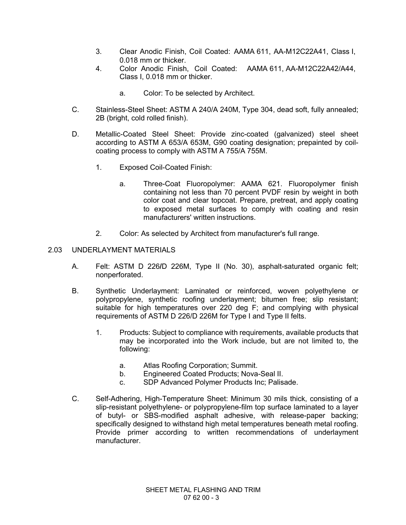- 3. Clear Anodic Finish, Coil Coated: AAMA 611, AA-M12C22A41, Class I, 0.018 mm or thicker.
- 4. Color Anodic Finish, Coil Coated: AAMA 611, AA-M12C22A42/A44, Class I, 0.018 mm or thicker.
	- a. Color: To be selected by Architect.
- C. Stainless-Steel Sheet: ASTM A 240/A 240M, Type 304, dead soft, fully annealed; 2B (bright, cold rolled finish).
- D. Metallic-Coated Steel Sheet: Provide zinc-coated (galvanized) steel sheet according to ASTM A 653/A 653M, G90 coating designation; prepainted by coilcoating process to comply with ASTM A 755/A 755M.
	- 1. Exposed Coil-Coated Finish:
		- a. Three-Coat Fluoropolymer: AAMA 621. Fluoropolymer finish containing not less than 70 percent PVDF resin by weight in both color coat and clear topcoat. Prepare, pretreat, and apply coating to exposed metal surfaces to comply with coating and resin manufacturers' written instructions.
	- 2. Color: As selected by Architect from manufacturer's full range.

## 2.03 UNDERLAYMENT MATERIALS

- A. Felt: ASTM D 226**/**D 226M, Type II (No. 30), asphalt-saturated organic felt; nonperforated.
- B. Synthetic Underlayment: Laminated or reinforced, woven polyethylene or polypropylene, synthetic roofing underlayment; bitumen free; slip resistant; suitable for high temperatures over 220 deg F; and complying with physical requirements of ASTM D 226/D 226M for Type I and Type II felts.
	- 1. Products: Subject to compliance with requirements, available products that may be incorporated into the Work include, but are not limited to, the following:
		- a. Atlas Roofing Corporation; Summit.
		- b. Engineered Coated Products; Nova-Seal II.
		- c. SDP Advanced Polymer Products Inc; Palisade.
- C. Self-Adhering, High-Temperature Sheet: Minimum 30 mils thick, consisting of a slip-resistant polyethylene- or polypropylene-film top surface laminated to a layer of butyl- or SBS-modified asphalt adhesive, with release-paper backing; specifically designed to withstand high metal temperatures beneath metal roofing. Provide primer according to written recommendations of underlayment manufacturer.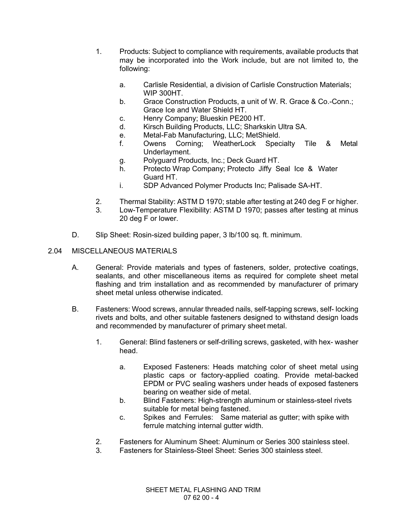- 1. Products: Subject to compliance with requirements, available products that may be incorporated into the Work include, but are not limited to, the following:
	- a. Carlisle Residential, a division of Carlisle Construction Materials; WIP 300HT.
	- b. Grace Construction Products, a unit of W. R. Grace & Co.-Conn.; Grace Ice and Water Shield HT.
	- c. Henry Company; Blueskin PE200 HT.
	- d. Kirsch Building Products, LLC; Sharkskin Ultra SA.
	- e. Metal-Fab Manufacturing, LLC; MetShield.
	- f. Owens Corning; WeatherLock Specialty Tile & Metal Underlayment.
	- g. Polyguard Products, Inc.; Deck Guard HT.
	- h. Protecto Wrap Company; Protecto Jiffy Seal Ice & Water Guard HT.
	- i. SDP Advanced Polymer Products Inc; Palisade SA-HT.
- 2. Thermal Stability: ASTM D 1970; stable after testing at 240 deg F or higher.
- 3. Low-Temperature Flexibility: ASTM D 1970; passes after testing at minus 20 deg F or lower.
- D. Slip Sheet: Rosin-sized building paper, 3 lb/100 sq. ft. minimum.

## 2.04 MISCELLANEOUS MATERIALS

- A. General: Provide materials and types of fasteners, solder, protective coatings, sealants, and other miscellaneous items as required for complete sheet metal flashing and trim installation and as recommended by manufacturer of primary sheet metal unless otherwise indicated.
- B. Fasteners: Wood screws, annular threaded nails, self-tapping screws, self- locking rivets and bolts, and other suitable fasteners designed to withstand design loads and recommended by manufacturer of primary sheet metal.
	- 1. General: Blind fasteners or self-drilling screws, gasketed, with hex- washer head.
		- a. Exposed Fasteners: Heads matching color of sheet metal using plastic caps or factory-applied coating. Provide metal-backed EPDM or PVC sealing washers under heads of exposed fasteners bearing on weather side of metal.
		- b. Blind Fasteners: High-strength aluminum or stainless-steel rivets suitable for metal being fastened.
		- c. Spikes and Ferrules: Same material as gutter; with spike with ferrule matching internal gutter width.
	- 2. Fasteners for Aluminum Sheet: Aluminum or Series 300 stainless steel.
	- 3. Fasteners for Stainless-Steel Sheet: Series 300 stainless steel.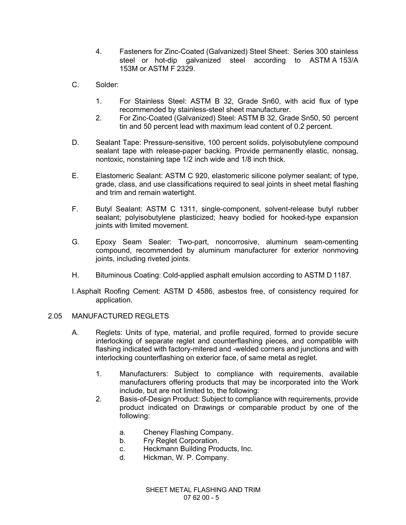- 4. Fasteners for Zinc-Coated (Galvanized) Steel Sheet: Series 300 stainless steel or hot-dip galvanized steel according to ASTM A 153/A 153M or ASTM F 2329.
- C. Solder:
	- 1. For Stainless Steel: ASTM B 32, Grade Sn60, with acid flux of type recommended by stainless-steel sheet manufacturer.
	- 2. For Zinc-Coated (Galvanized) Steel: ASTM B 32, Grade Sn50, 50 percent tin and 50 percent lead with maximum lead content of 0.2 percent.
- D. Sealant Tape: Pressure-sensitive, 100 percent solids, polyisobutylene compound sealant tape with release-paper backing. Provide permanently elastic, nonsag, nontoxic, nonstaining tape 1/2 inch wide and 1/8 inch thick.
- E. Elastomeric Sealant: ASTM C 920, elastomeric silicone polymer sealant; of type, grade, class, and use classifications required to seal joints in sheet metal flashing and trim and remain watertight.
- F. Butyl Sealant: ASTM C 1311, single-component, solvent-release butyl rubber sealant; polyisobutylene plasticized; heavy bodied for hooked-type expansion joints with limited movement.
- G. Epoxy Seam Sealer: Two-part, noncorrosive, aluminum seam-cementing compound, recommended by aluminum manufacturer for exterior nonmoving joints, including riveted joints.
- H. Bituminous Coating: Cold-applied asphalt emulsion according to ASTM D 1187.
- I.Asphalt Roofing Cement: ASTM D 4586, asbestos free, of consistency required for application.

#### 2.05 MANUFACTURED REGLETS

- A. Reglets: Units of type, material, and profile required, formed to provide secure interlocking of separate reglet and counterflashing pieces, and compatible with flashing indicated with factory-mitered and -welded corners and junctions and with interlocking counterflashing on exterior face, of same metal as reglet.
	- 1. Manufacturers: Subject to compliance with requirements, available manufacturers offering products that may be incorporated into the Work include, but are not limited to, the following:
	- 2. Basis-of-Design Product: Subject to compliance with requirements, provide product indicated on Drawings or comparable product by one of the following:
		- a. Cheney Flashing Company.
		- b. Fry Reglet Corporation.
		- c. Heckmann Building Products, Inc.
		- d. Hickman, W. P. Company.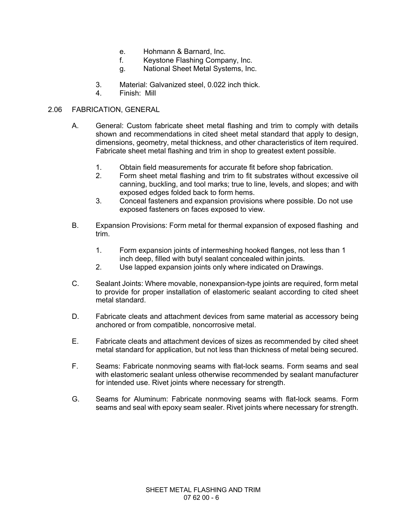- e. Hohmann & Barnard, Inc.
- f. Keystone Flashing Company, Inc.
- g. National Sheet Metal Systems, Inc.
- 3. Material: Galvanized steel, 0.022 inch thick.
- 4. Finish: Mill

## 2.06 FABRICATION, GENERAL

- A. General: Custom fabricate sheet metal flashing and trim to comply with details shown and recommendations in cited sheet metal standard that apply to design, dimensions, geometry, metal thickness, and other characteristics of item required. Fabricate sheet metal flashing and trim in shop to greatest extent possible.
	- 1. Obtain field measurements for accurate fit before shop fabrication.
	- 2. Form sheet metal flashing and trim to fit substrates without excessive oil canning, buckling, and tool marks; true to line, levels, and slopes; and with exposed edges folded back to form hems.
	- 3. Conceal fasteners and expansion provisions where possible. Do not use exposed fasteners on faces exposed to view.
- B. Expansion Provisions: Form metal for thermal expansion of exposed flashing and trim.
	- 1. Form expansion joints of intermeshing hooked flanges, not less than 1 inch deep, filled with butyl sealant concealed within joints.
	- 2. Use lapped expansion joints only where indicated on Drawings.
- C. Sealant Joints: Where movable, nonexpansion-type joints are required, form metal to provide for proper installation of elastomeric sealant according to cited sheet metal standard.
- D. Fabricate cleats and attachment devices from same material as accessory being anchored or from compatible, noncorrosive metal.
- E. Fabricate cleats and attachment devices of sizes as recommended by cited sheet metal standard for application, but not less than thickness of metal being secured.
- F. Seams: Fabricate nonmoving seams with flat-lock seams. Form seams and seal with elastomeric sealant unless otherwise recommended by sealant manufacturer for intended use. Rivet joints where necessary for strength.
- G. Seams for Aluminum: Fabricate nonmoving seams with flat-lock seams. Form seams and seal with epoxy seam sealer. Rivet joints where necessary for strength.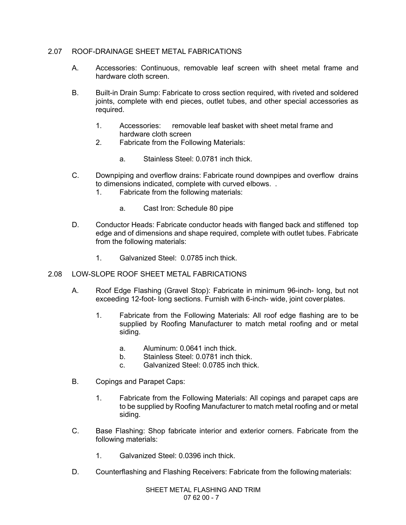## 2.07 ROOF-DRAINAGE SHEET METAL FABRICATIONS

- A. Accessories: Continuous, removable leaf screen with sheet metal frame and hardware cloth screen.
- B. Built-in Drain Sump: Fabricate to cross section required, with riveted and soldered joints, complete with end pieces, outlet tubes, and other special accessories as required.
	- 1. Accessories: removable leaf basket with sheet metal frame and hardware cloth screen
	- 2. Fabricate from the Following Materials:
		- a. Stainless Steel: 0.0781 inch thick.
- C. Downpiping and overflow drains: Fabricate round downpipes and overflow drains to dimensions indicated, complete with curved elbows. .
	- 1. Fabricate from the following materials:
		- a. Cast Iron: Schedule 80 pipe
- D. Conductor Heads: Fabricate conductor heads with flanged back and stiffened top edge and of dimensions and shape required, complete with outlet tubes. Fabricate from the following materials:
	- 1. Galvanized Steel: 0.0785 inch thick.
- 2.08 LOW-SLOPE ROOF SHEET METAL FABRICATIONS
	- A. Roof Edge Flashing (Gravel Stop): Fabricate in minimum 96-inch- long, but not exceeding 12-foot- long sections. Furnish with 6-inch- wide, joint coverplates.
		- 1. Fabricate from the Following Materials: All roof edge flashing are to be supplied by Roofing Manufacturer to match metal roofing and or metal siding.
			- a. Aluminum: 0.0641 inch thick.
			- b. Stainless Steel: 0.0781 inch thick.
			- c. Galvanized Steel: 0.0785 inch thick.
	- B. Copings and Parapet Caps:
		- 1. Fabricate from the Following Materials: All copings and parapet caps are to be supplied by Roofing Manufacturer to match metal roofing and or metal siding.
	- C. Base Flashing: Shop fabricate interior and exterior corners. Fabricate from the following materials:
		- 1. Galvanized Steel: 0.0396 inch thick.
	- D. Counterflashing and Flashing Receivers: Fabricate from the following materials: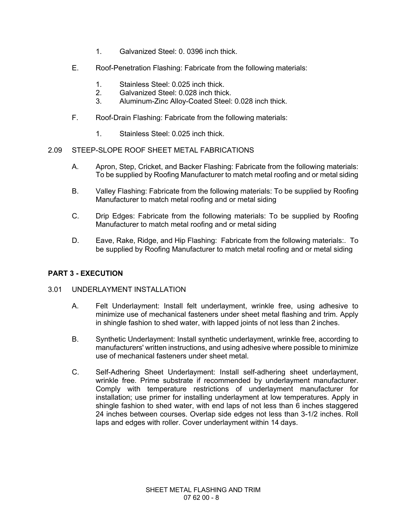- 1. Galvanized Steel: 0. 0396 inch thick.
- E. Roof-Penetration Flashing: Fabricate from the following materials:
	- 1. Stainless Steel: 0.025 inch thick.
	- 2. Galvanized Steel: 0.028 inch thick.
	- 3. Aluminum-Zinc Alloy-Coated Steel: 0.028 inch thick.
- F. Roof-Drain Flashing: Fabricate from the following materials:
	- 1. Stainless Steel: 0.025 inch thick.

## 2.09 STEEP-SLOPE ROOF SHEET METAL FABRICATIONS

- A. Apron, Step, Cricket, and Backer Flashing: Fabricate from the following materials: To be supplied by Roofing Manufacturer to match metal roofing and or metal siding
- B. Valley Flashing: Fabricate from the following materials: To be supplied by Roofing Manufacturer to match metal roofing and or metal siding
- C. Drip Edges: Fabricate from the following materials: To be supplied by Roofing Manufacturer to match metal roofing and or metal siding
- D. Eave, Rake, Ridge, and Hip Flashing: Fabricate from the following materials:. To be supplied by Roofing Manufacturer to match metal roofing and or metal siding

## **PART 3 - EXECUTION**

## 3.01 UNDERLAYMENT INSTALLATION

- A. Felt Underlayment: Install felt underlayment, wrinkle free, using adhesive to minimize use of mechanical fasteners under sheet metal flashing and trim. Apply in shingle fashion to shed water, with lapped joints of not less than 2 inches.
- B. Synthetic Underlayment: Install synthetic underlayment, wrinkle free, according to manufacturers' written instructions, and using adhesive where possible to minimize use of mechanical fasteners under sheet metal.
- C. Self-Adhering Sheet Underlayment: Install self-adhering sheet underlayment, wrinkle free. Prime substrate if recommended by underlayment manufacturer. Comply with temperature restrictions of underlayment manufacturer for installation; use primer for installing underlayment at low temperatures. Apply in shingle fashion to shed water, with end laps of not less than 6 inches staggered 24 inches between courses. Overlap side edges not less than 3-1/2 inches. Roll laps and edges with roller. Cover underlayment within 14 days.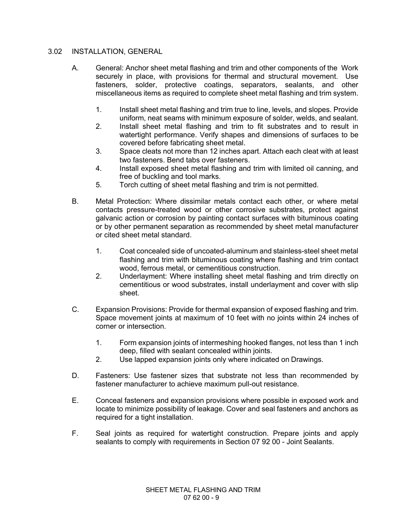## 3.02 INSTALLATION, GENERAL

- A. General: Anchor sheet metal flashing and trim and other components of the Work securely in place, with provisions for thermal and structural movement. Use fasteners, solder, protective coatings, separators, sealants, and other miscellaneous items as required to complete sheet metal flashing and trim system.
	- 1. Install sheet metal flashing and trim true to line, levels, and slopes. Provide uniform, neat seams with minimum exposure of solder, welds, and sealant.
	- 2. Install sheet metal flashing and trim to fit substrates and to result in watertight performance. Verify shapes and dimensions of surfaces to be covered before fabricating sheet metal.
	- 3. Space cleats not more than 12 inches apart. Attach each cleat with at least two fasteners. Bend tabs over fasteners.
	- 4. Install exposed sheet metal flashing and trim with limited oil canning, and free of buckling and tool marks.
	- 5. Torch cutting of sheet metal flashing and trim is not permitted.
- B. Metal Protection: Where dissimilar metals contact each other, or where metal contacts pressure-treated wood or other corrosive substrates, protect against galvanic action or corrosion by painting contact surfaces with bituminous coating or by other permanent separation as recommended by sheet metal manufacturer or cited sheet metal standard.
	- 1. Coat concealed side of uncoated-aluminum and stainless-steel sheet metal flashing and trim with bituminous coating where flashing and trim contact wood, ferrous metal, or cementitious construction.
	- 2. Underlayment: Where installing sheet metal flashing and trim directly on cementitious or wood substrates, install underlayment and cover with slip sheet.
- C. Expansion Provisions: Provide for thermal expansion of exposed flashing and trim. Space movement joints at maximum of 10 feet with no joints within 24 inches of corner or intersection.
	- 1. Form expansion joints of intermeshing hooked flanges, not less than 1 inch deep, filled with sealant concealed within joints.
	- 2. Use lapped expansion joints only where indicated on Drawings.
- D. Fasteners: Use fastener sizes that substrate not less than recommended by fastener manufacturer to achieve maximum pull-out resistance.
- E. Conceal fasteners and expansion provisions where possible in exposed work and locate to minimize possibility of leakage. Cover and seal fasteners and anchors as required for a tight installation.
- F. Seal joints as required for watertight construction. Prepare joints and apply sealants to comply with requirements in Section 07 92 00 - Joint Sealants.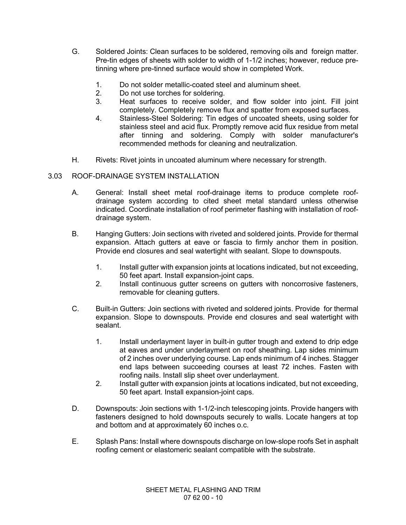- G. Soldered Joints: Clean surfaces to be soldered, removing oils and foreign matter. Pre-tin edges of sheets with solder to width of 1-1/2 inches; however, reduce pretinning where pre-tinned surface would show in completed Work.
	- 1. Do not solder metallic-coated steel and aluminum sheet.
	- 2. Do not use torches for soldering.
	- 3. Heat surfaces to receive solder, and flow solder into joint. Fill joint completely. Completely remove flux and spatter from exposed surfaces.
	- 4. Stainless-Steel Soldering: Tin edges of uncoated sheets, using solder for stainless steel and acid flux. Promptly remove acid flux residue from metal after tinning and soldering. Comply with solder manufacturer's recommended methods for cleaning and neutralization.
- H. Rivets: Rivet joints in uncoated aluminum where necessary for strength.

## 3.03 ROOF-DRAINAGE SYSTEM INSTALLATION

- A. General: Install sheet metal roof-drainage items to produce complete roofdrainage system according to cited sheet metal standard unless otherwise indicated. Coordinate installation of roof perimeter flashing with installation of roofdrainage system.
- B. Hanging Gutters: Join sections with riveted and soldered joints. Provide for thermal expansion. Attach gutters at eave or fascia to firmly anchor them in position. Provide end closures and seal watertight with sealant. Slope to downspouts.
	- 1. Install gutter with expansion joints at locations indicated, but not exceeding, 50 feet apart. Install expansion-joint caps.
	- 2. Install continuous gutter screens on gutters with noncorrosive fasteners, removable for cleaning gutters.
- C. Built-in Gutters: Join sections with riveted and soldered joints. Provide for thermal expansion. Slope to downspouts. Provide end closures and seal watertight with sealant.
	- 1. Install underlayment layer in built-in gutter trough and extend to drip edge at eaves and under underlayment on roof sheathing. Lap sides minimum of 2 inches over underlying course. Lap ends minimum of 4 inches. Stagger end laps between succeeding courses at least 72 inches. Fasten with roofing nails. Install slip sheet over underlayment.
	- 2. Install gutter with expansion joints at locations indicated, but not exceeding, 50 feet apart. Install expansion-joint caps.
- D. Downspouts: Join sections with 1-1/2-inch telescoping joints. Provide hangers with fasteners designed to hold downspouts securely to walls. Locate hangers at top and bottom and at approximately 60 inches o.c.
- E. Splash Pans: Install where downspouts discharge on low-slope roofs Set in asphalt roofing cement or elastomeric sealant compatible with the substrate.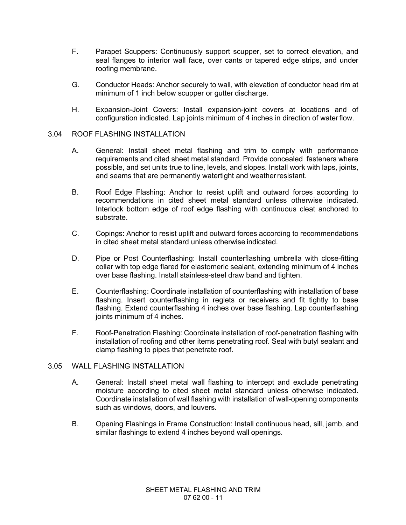- F. Parapet Scuppers: Continuously support scupper, set to correct elevation, and seal flanges to interior wall face, over cants or tapered edge strips, and under roofing membrane.
- G. Conductor Heads: Anchor securely to wall, with elevation of conductor head rim at minimum of 1 inch below scupper or gutter discharge.
- H. Expansion-Joint Covers: Install expansion-joint covers at locations and of configuration indicated. Lap joints minimum of 4 inches in direction of waterflow.

#### 3.04 ROOF FLASHING INSTALLATION

- A. General: Install sheet metal flashing and trim to comply with performance requirements and cited sheet metal standard. Provide concealed fasteners where possible, and set units true to line, levels, and slopes. Install work with laps, joints, and seams that are permanently watertight and weatherresistant.
- B. Roof Edge Flashing: Anchor to resist uplift and outward forces according to recommendations in cited sheet metal standard unless otherwise indicated. Interlock bottom edge of roof edge flashing with continuous cleat anchored to substrate.
- C. Copings: Anchor to resist uplift and outward forces according to recommendations in cited sheet metal standard unless otherwise indicated.
- D. Pipe or Post Counterflashing: Install counterflashing umbrella with close-fitting collar with top edge flared for elastomeric sealant, extending minimum of 4 inches over base flashing. Install stainless-steel draw band and tighten.
- E. Counterflashing: Coordinate installation of counterflashing with installation of base flashing. Insert counterflashing in reglets or receivers and fit tightly to base flashing. Extend counterflashing 4 inches over base flashing. Lap counterflashing joints minimum of 4 inches.
- F. Roof-Penetration Flashing: Coordinate installation of roof-penetration flashing with installation of roofing and other items penetrating roof. Seal with butyl sealant and clamp flashing to pipes that penetrate roof.

#### 3.05 WALL FLASHING INSTALLATION

- A. General: Install sheet metal wall flashing to intercept and exclude penetrating moisture according to cited sheet metal standard unless otherwise indicated. Coordinate installation of wall flashing with installation of wall-opening components such as windows, doors, and louvers.
- B. Opening Flashings in Frame Construction: Install continuous head, sill, jamb, and similar flashings to extend 4 inches beyond wall openings.